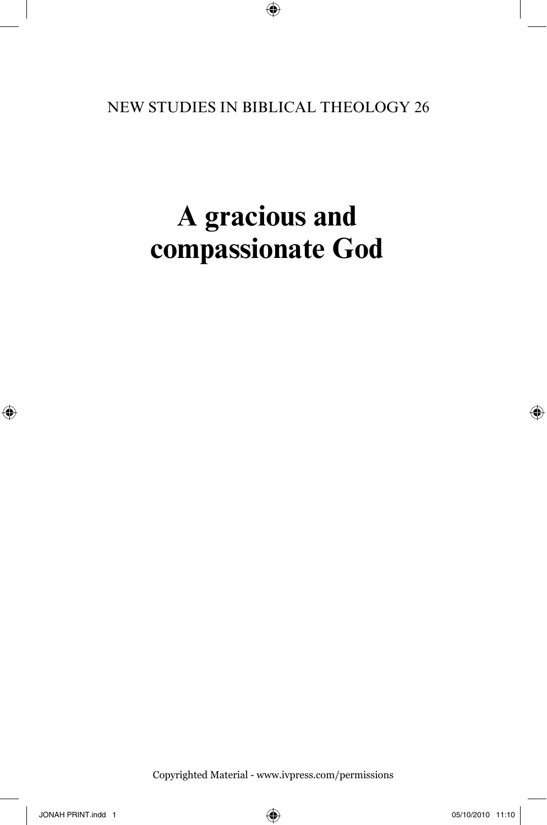NEW STUDIES IN BIBLICAL THEOLOGY 26

 $\bigoplus$ 

# **A gracious and compassionate God**

Copyrighted Material - www.ivpress.com/permissions

◈

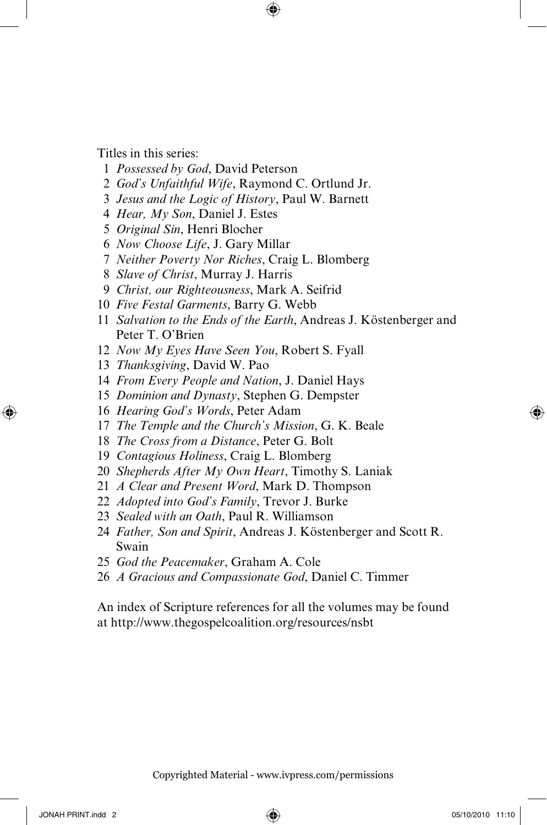Titles in this series:

- *Possessed by God*, David Peterson
- *God's Unfaithful Wife*, Raymond C. Ortlund Jr.
- *Jesus and the Logic of History*, Paul W. Barnett
- *Hear, My Son*, Daniel J. Estes
- *Original Sin*, Henri Blocher
- *Now Choose Life*, J. Gary Millar
- *Neither Poverty Nor Riches*, Craig L. Blomberg
- *Slave of Christ*, Murray J. Harris
- *Christ, our Righteousness*, Mark A. Seifrid
- *Five Festal Garments*, Barry G. Webb
- *Salvation to the Ends of the Earth*, Andreas J. Köstenberger and Peter T. O'Brien

⊕

- *Now My Eyes Have Seen You*, Robert S. Fyall
- *Thanksgiving*, David W. Pao
- *From Every People and Nation*, J. Daniel Hays
- *Dominion and Dynasty*, Stephen G. Dempster
- *Hearing God's Words*, Peter Adam
- *The Temple and the Church's Mission*, G. K. Beale
- *The Cross from a Distance*, Peter G. Bolt
- *Contagious Holiness*, Craig L. Blomberg
- *Shepherds After My Own Heart*, Timothy S. Laniak
- *A Clear and Present Word*, Mark D. Thompson
- *Adopted into God's Family*, Trevor J. Burke
- *Sealed with an Oath*, Paul R. Williamson
- *Father, Son and Spirit*, Andreas J. Köstenberger and Scott R. Swain
- *God the Peacemaker*, Graham A. Cole
- *A Gracious and Compassionate God*, Daniel C. Timmer

An index of Scripture references for all the volumes may be found at http://www.thegospelcoalition.org/resources/nsbt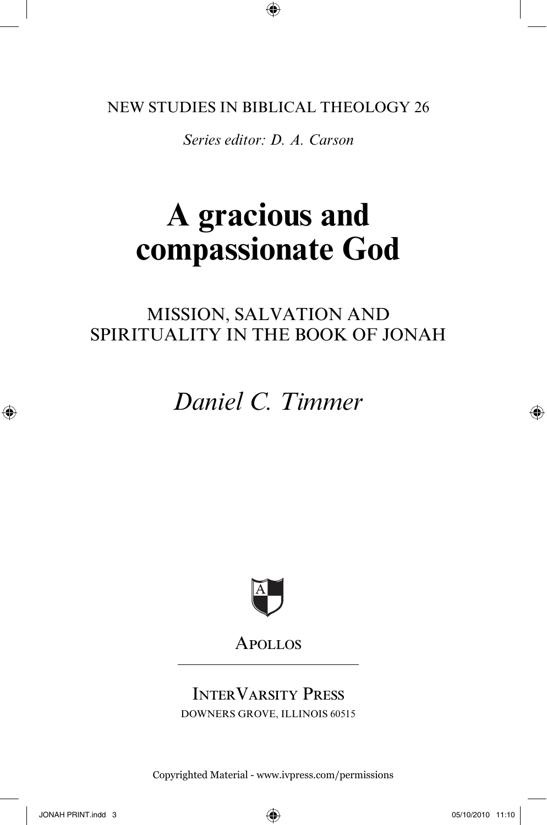NEW STUDIES IN BIBLICAL THEOLOGY 26

⊕

*Series editor: D. A. Carson*

# **A gracious and compassionate God**

# MISSION, SALVATION AND SPIRITUALITY IN THE BOOK OF JONAH

*Daniel C. Timmer*



**APOLLOS** 

# **INTERVARSITY PRESS**

DOWNERS GROVE, ILLINOIS 60515

Copyrighted Material - www.ivpress.com/permissions

◈

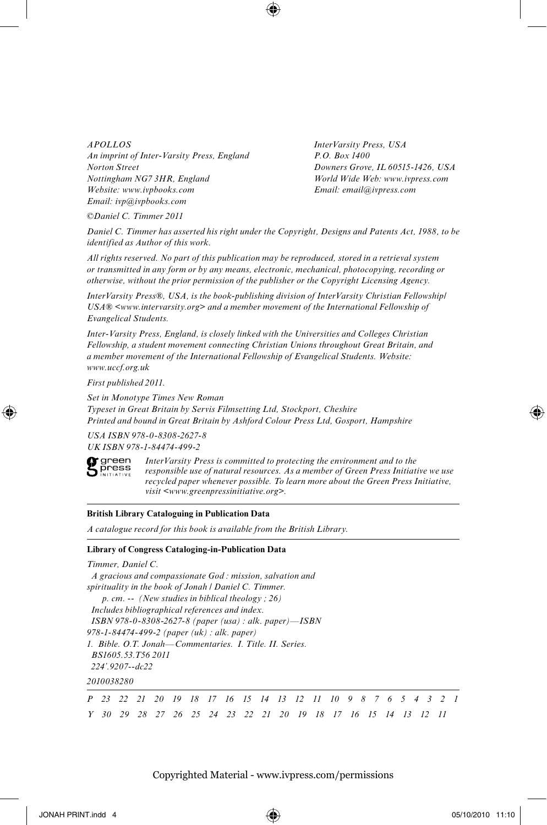*APOLLOS InterVarsity Press, USA An imprint of Inter-Varsity Press, England P.O. Box 1400 Norton Street Downers Grove, IL 60515-1426, USA Nottingham NG7 3HR, England World Wide Web: www.ivpress.com Website: www.ivpbooks.com Email: email@ivpress.com Email: ivp@ivpbooks.com*

*©Daniel C. Timmer 2011*

*Daniel C. Timmer has asserted his right under the Copyright, Designs and Patents Act, 1988, to be identified as Author of this work.*

*All rights reserved. No part of this publication may be reproduced, stored in a retrieval system or transmitted in any form or by any means, electronic, mechanical, photocopying, recording or otherwise, without the prior permission of the publisher or the Copyright Licensing Agency.*

*InterVarsity Press®, USA, is the book-publishing division of InterVarsity Christian Fellowship/ USA® <www.intervarsity.org> and a member movement of the International Fellowship of Evangelical Students.* 

*Inter-Varsity Press, England, is closely linked with the Universities and Colleges Christian Fellowship, a student movement connecting Christian Unions throughout Great Britain, and a member movement of the International Fellowship of Evangelical Students. Website: www.uccf.org.uk*

*First published 2011.*

*Set in Monotype Times New Roman Typeset in Great Britain by Servis Filmsetting Ltd, Stockport, Cheshire Printed and bound in Great Britain by Ashford Colour Press Ltd, Gosport, Hampshire*

*USA ISBN 978-0-8308-2627-8 UK ISBN 978-1-84474-499-2*



⊕

*InterVarsity Press is committed to protecting the environment and to the responsible use of natural resources. As a member of Green Press Initiative we use recycled paper whenever possible. To learn more about the Green Press Initiative, visit <www.greenpressinitiative.org>.*

#### **British Library Cataloguing in Publication Data**

*A catalogue record for this book is available from the British Library.*

#### **Library of Congress Cataloging-in-Publication Data**

*Timmer, Daniel C. A gracious and compassionate God : mission, salvation and spirituality in the book of Jonah / Daniel C. Timmer. p. cm. -- (New studies in biblical theology ; 26) Includes bibliographical references and index. ISBN 978-0-8308-2627-8 (paper (usa) : alk. paper) —ISBN 978-1-84474-499-2 (paper (uk) : alk. paper) 1. Bible. O.T. Jonah—Commentaries. I. Title. II. Series. BS1605.53.T56 2011 224'.9207--dc22 2010038280 P 23 22 21 20 19 18 17 16 15 14 13 12 11 10 9 8 7 6 5 4 3 2 1*

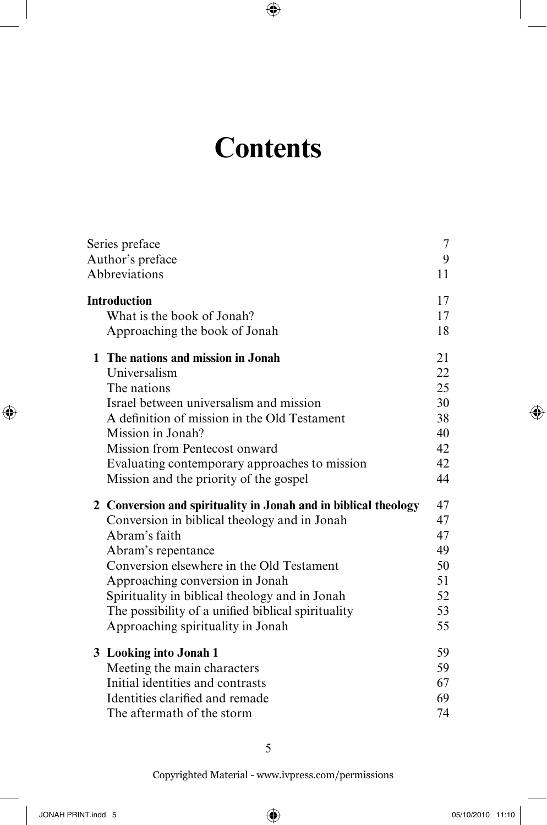# **Contents**

 $\bigoplus$ 

|  | Series preface                                                  | 7  |
|--|-----------------------------------------------------------------|----|
|  | Author's preface                                                | 9  |
|  | Abbreviations                                                   | 11 |
|  | <b>Introduction</b>                                             | 17 |
|  | What is the book of Jonah?                                      | 17 |
|  | Approaching the book of Jonah                                   | 18 |
|  | 1 The nations and mission in Jonah                              | 21 |
|  | Universalism                                                    | 22 |
|  | The nations                                                     | 25 |
|  | Israel between universalism and mission                         | 30 |
|  | A definition of mission in the Old Testament                    | 38 |
|  | Mission in Jonah?                                               | 40 |
|  | Mission from Pentecost onward                                   | 42 |
|  | Evaluating contemporary approaches to mission                   | 42 |
|  | Mission and the priority of the gospel                          | 44 |
|  | 2 Conversion and spirituality in Jonah and in biblical theology | 47 |
|  | Conversion in biblical theology and in Jonah                    | 47 |
|  | Abram's faith                                                   | 47 |
|  | Abram's repentance                                              | 49 |
|  | Conversion elsewhere in the Old Testament                       | 50 |
|  | Approaching conversion in Jonah                                 | 51 |
|  | Spirituality in biblical theology and in Jonah                  | 52 |
|  | The possibility of a unified biblical spirituality              | 53 |
|  | Approaching spirituality in Jonah                               | 55 |
|  | 3 Looking into Jonah 1                                          | 59 |
|  | Meeting the main characters                                     | 59 |
|  | Initial identities and contrasts                                | 67 |
|  | Identities clarified and remade                                 | 69 |
|  | The aftermath of the storm                                      | 74 |

5

 $\bigoplus$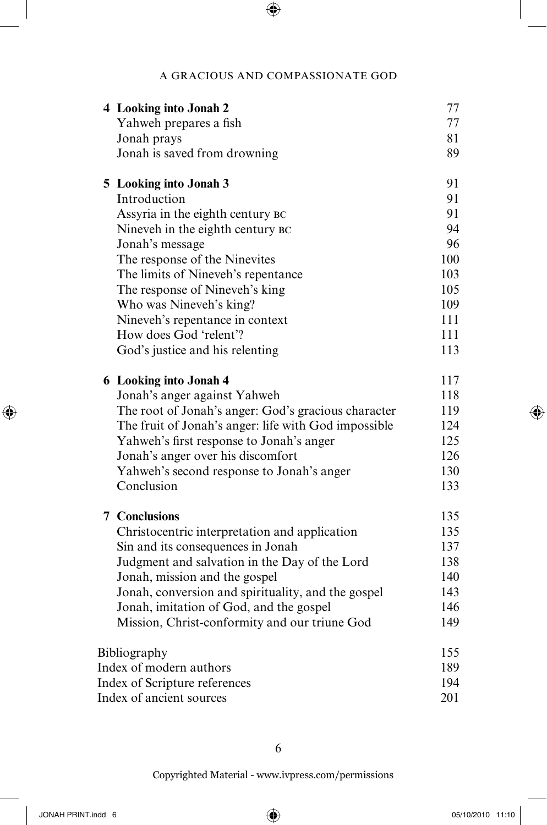$\bigoplus$ 

|                               | 4 Looking into Jonah 2                               | 77         |
|-------------------------------|------------------------------------------------------|------------|
|                               | Yahweh prepares a fish                               | 77         |
|                               | Jonah prays                                          | 81         |
|                               | Jonah is saved from drowning                         | 89         |
|                               | 5 Looking into Jonah 3                               | 91         |
|                               | Introduction                                         | 91         |
|                               | Assyria in the eighth century BC                     | 91         |
|                               | Nineveh in the eighth century BC                     | 94         |
|                               | Jonah's message                                      | 96         |
|                               | The response of the Ninevites                        | 100        |
|                               | The limits of Nineveh's repentance                   | 103        |
|                               | The response of Nineveh's king                       | 105        |
|                               | Who was Nineveh's king?                              | 109        |
|                               | Nineveh's repentance in context                      | 111        |
|                               | How does God 'relent'?                               | 111        |
|                               | God's justice and his relenting                      | 113        |
|                               | 6 Looking into Jonah 4                               | 117        |
|                               | Jonah's anger against Yahweh                         | 118        |
|                               | The root of Jonah's anger: God's gracious character  | 119        |
|                               | The fruit of Jonah's anger: life with God impossible | 124        |
|                               | Yahweh's first response to Jonah's anger             | 125        |
|                               | Jonah's anger over his discomfort                    | 126        |
|                               | Yahweh's second response to Jonah's anger            | 130        |
|                               | Conclusion                                           | 133        |
|                               | <b>7 Conclusions</b>                                 | 135        |
|                               | Christocentric interpretation and application        | 135        |
|                               | Sin and its consequences in Jonah                    | 137        |
|                               | Judgment and salvation in the Day of the Lord        | 138        |
|                               | Jonah, mission and the gospel                        | 140        |
|                               | Jonah, conversion and spirituality, and the gospel   | 143        |
|                               | Jonah, imitation of God, and the gospel              | 146        |
|                               | Mission, Christ-conformity and our triune God        | 149        |
| Bibliography                  |                                                      | 155        |
| Index of modern authors       |                                                      | 189        |
| Index of Scripture references |                                                      | 194<br>201 |
| Index of ancient sources      |                                                      |            |

6

 $\bigoplus$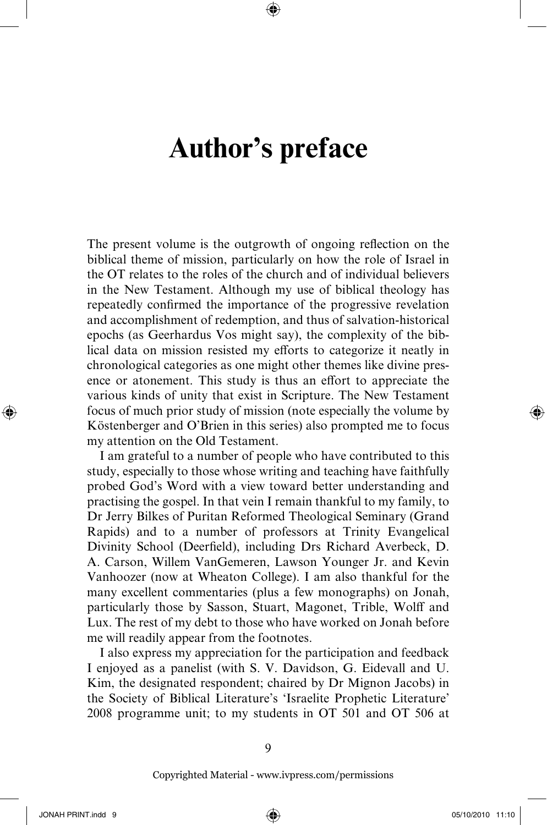# **Author's preface**

⊕

The present volume is the outgrowth of ongoing reflection on the biblical theme of mission, particularly on how the role of Israel in the OT relates to the roles of the church and of individual believers in the New Testament. Although my use of biblical theology has repeatedly confirmed the importance of the progressive revelation and accomplishment of redemption, and thus of salvation-historical epochs (as Geerhardus Vos might say), the complexity of the biblical data on mission resisted my efforts to categorize it neatly in chronological categories as one might other themes like divine presence or atonement. This study is thus an effort to appreciate the various kinds of unity that exist in Scripture. The New Testament focus of much prior study of mission (note especially the volume by Köstenberger and O'Brien in this series) also prompted me to focus my attention on the Old Testament.

I am grateful to a number of people who have contributed to this study, especially to those whose writing and teaching have faithfully probed God's Word with a view toward better understanding and practising the gospel. In that vein I remain thankful to my family, to Dr Jerry Bilkes of Puritan Reformed Theological Seminary (Grand Rapids) and to a number of professors at Trinity Evangelical Divinity School (Deerfield), including Drs Richard Averbeck, D. A. Carson, Willem VanGemeren, Lawson Younger Jr. and Kevin Vanhoozer (now at Wheaton College). I am also thankful for the many excellent commentaries (plus a few monographs) on Jonah, particularly those by Sasson, Stuart, Magonet, Trible, Wolff and Lux. The rest of my debt to those who have worked on Jonah before me will readily appear from the footnotes.

I also express my appreciation for the participation and feedback I enjoyed as a panelist (with S. V. Davidson, G. Eidevall and U. Kim, the designated respondent; chaired by Dr Mignon Jacobs) in the Society of Biblical Literature's 'Israelite Prophetic Literature' 2008 programme unit; to my students in OT 501 and OT 506 at

9

⊕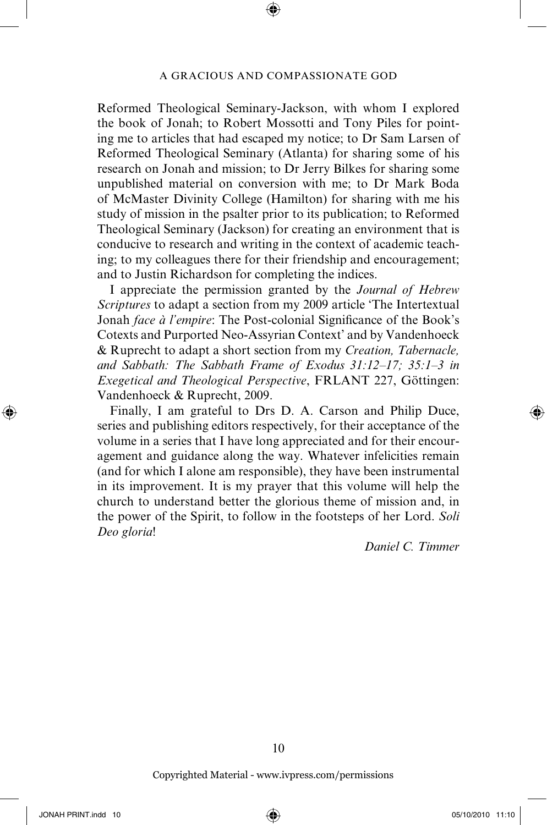⊕

Reformed Theological Seminary-Jackson, with whom I explored the book of Jonah; to Robert Mossotti and Tony Piles for pointing me to articles that had escaped my notice; to Dr Sam Larsen of Reformed Theological Seminary (Atlanta) for sharing some of his research on Jonah and mission; to Dr Jerry Bilkes for sharing some unpublished material on conversion with me; to Dr Mark Boda of McMaster Divinity College (Hamilton) for sharing with me his study of mission in the psalter prior to its publication; to Reformed Theological Seminary (Jackson) for creating an environment that is conducive to research and writing in the context of academic teaching; to my colleagues there for their friendship and encouragement; and to Justin Richardson for completing the indices.

I appreciate the permission granted by the *Journal of Hebrew Scriptures* to adapt a section from my 2009 article 'The Intertextual Jonah *face à l'empire*: The Post-colonial Significance of the Book's Cotexts and Purported Neo-Assyrian Context' and by Vandenhoeck & Ruprecht to adapt a short section from my *Creation, Tabernacle, and Sabbath: The Sabbath Frame of Exodus 31:12–17; 35:1–3 in Exegetical and Theological Perspective*, FRLANT 227, Göttingen: Vandenhoeck & Ruprecht, 2009.

Finally, I am grateful to Drs D. A. Carson and Philip Duce, series and publishing editors respectively, for their acceptance of the volume in a series that I have long appreciated and for their encouragement and guidance along the way. Whatever infelicities remain (and for which I alone am responsible), they have been instrumental in its improvement. It is my prayer that this volume will help the church to understand better the glorious theme of mission and, in the power of the Spirit, to follow in the footsteps of her Lord. *Soli Deo gloria*!

*Daniel C. Timmer*

10

◈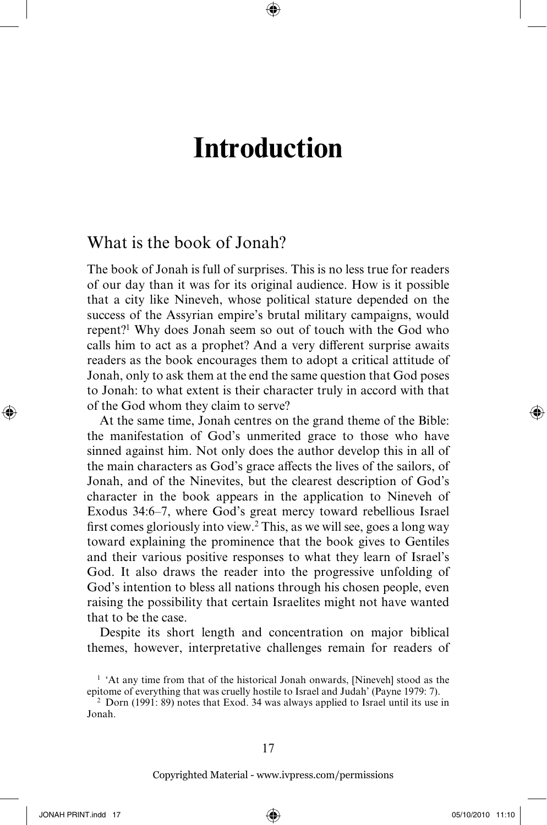# **Introduction**

⊕

# What is the book of Jonah?

The book of Jonah is full of surprises. This is no less true for readers of our day than it was for its original audience. How is it possible that a city like Nineveh, whose political stature depended on the success of the Assyrian empire's brutal military campaigns, would repent?1 Why does Jonah seem so out of touch with the God who calls him to act as a prophet? And a very different surprise awaits readers as the book encourages them to adopt a critical attitude of Jonah, only to ask them at the end the same question that God poses to Jonah: to what extent is their character truly in accord with that of the God whom they claim to serve?

At the same time, Jonah centres on the grand theme of the Bible: the manifestation of God's unmerited grace to those who have sinned against him. Not only does the author develop this in all of the main characters as God's grace affects the lives of the sailors, of Jonah, and of the Ninevites, but the clearest description of God's character in the book appears in the application to Nineveh of Exodus 34:6–7, where God's great mercy toward rebellious Israel first comes gloriously into view.<sup>2</sup> This, as we will see, goes a long way toward explaining the prominence that the book gives to Gentiles and their various positive responses to what they learn of Israel's God. It also draws the reader into the progressive unfolding of God's intention to bless all nations through his chosen people, even raising the possibility that certain Israelites might not have wanted that to be the case.

Despite its short length and concentration on major biblical themes, however, interpretative challenges remain for readers of

#### Copyrighted Material - www.ivpress.com/permissions

◈

<sup>&</sup>lt;sup>1</sup> 'At any time from that of the historical Jonah onwards, [Nineveh] stood as the

epitome of everything that was cruelly hostile to Israel and Judah' (Payne 1979: 7).<br><sup>2</sup> Dorn (1991: 89) notes that Exod. 34 was always applied to Israel until its use in Jonah.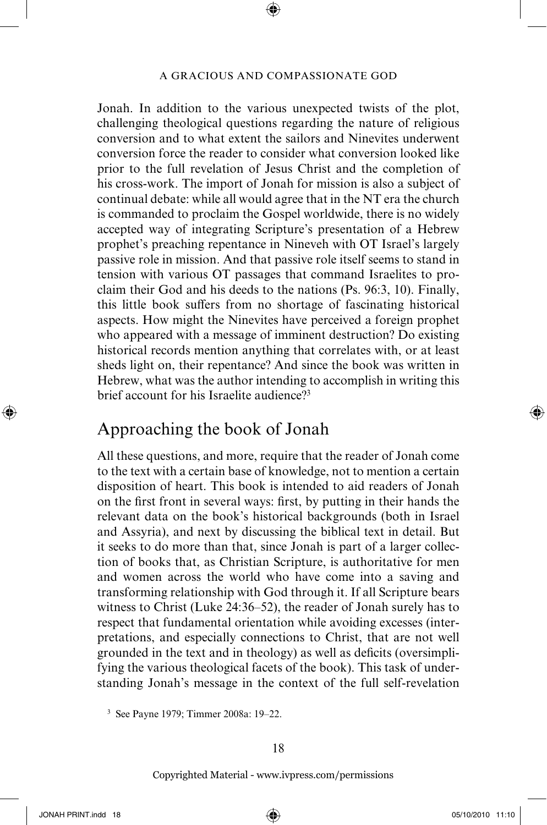⊕

Jonah. In addition to the various unexpected twists of the plot, challenging theological questions regarding the nature of religious conversion and to what extent the sailors and Ninevites underwent conversion force the reader to consider what conversion looked like prior to the full revelation of Jesus Christ and the completion of his cross-work. The import of Jonah for mission is also a subject of continual debate: while all would agree that in the NT era the church is commanded to proclaim the Gospel worldwide, there is no widely accepted way of integrating Scripture's presentation of a Hebrew prophet's preaching repentance in Nineveh with OT Israel's largely passive role in mission. And that passive role itself seems to stand in tension with various OT passages that command Israelites to proclaim their God and his deeds to the nations (Ps. 96:3, 10). Finally, this little book suffers from no shortage of fascinating historical aspects. How might the Ninevites have perceived a foreign prophet who appeared with a message of imminent destruction? Do existing historical records mention anything that correlates with, or at least sheds light on, their repentance? And since the book was written in Hebrew, what was the author intending to accomplish in writing this brief account for his Israelite audience?<sup>3</sup>

# Approaching the book of Jonah

All these questions, and more, require that the reader of Jonah come to the text with a certain base of knowledge, not to mention a certain disposition of heart. This book is intended to aid readers of Jonah on the first front in several ways: first, by putting in their hands the relevant data on the book's historical backgrounds (both in Israel and Assyria), and next by discussing the biblical text in detail. But it seeks to do more than that, since Jonah is part of a larger collection of books that, as Christian Scripture, is authoritative for men and women across the world who have come into a saving and transforming relationship with God through it. If all Scripture bears witness to Christ (Luke 24:36–52), the reader of Jonah surely has to respect that fundamental orientation while avoiding excesses (interpretations, and especially connections to Christ, that are not well grounded in the text and in theology) as well as deficits (oversimplifying the various theological facets of the book). This task of understanding Jonah's message in the context of the full self-revelation

3 See Payne 1979; Timmer 2008a: 19–22.

#### Copyrighted Material - www.ivpress.com/permissions

◈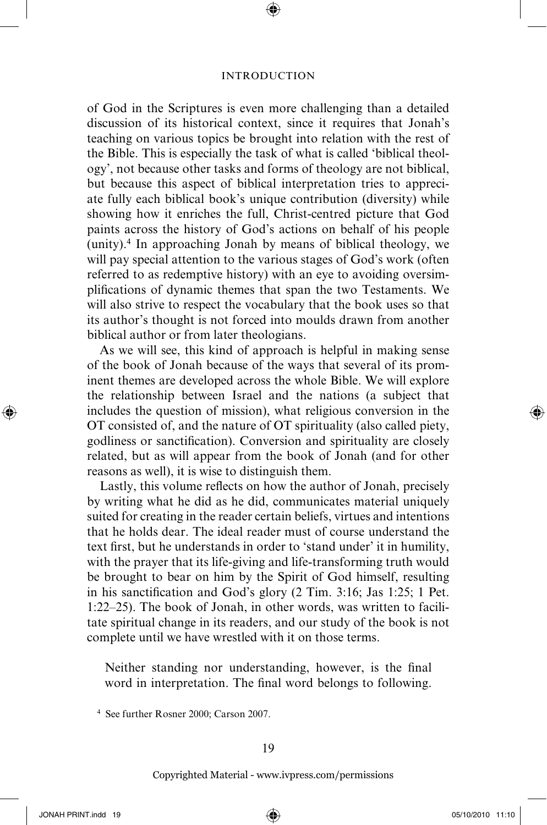#### INTRODUCTION

⊕

of God in the Scriptures is even more challenging than a detailed discussion of its historical context, since it requires that Jonah's teaching on various topics be brought into relation with the rest of the Bible. This is especially the task of what is called 'biblical theology', not because other tasks and forms of theology are not biblical, but because this aspect of biblical interpretation tries to appreciate fully each biblical book's unique contribution (diversity) while showing how it enriches the full, Christ-centred picture that God paints across the history of God's actions on behalf of his people (unity).4 In approaching Jonah by means of biblical theology, we will pay special attention to the various stages of God's work (often referred to as redemptive history) with an eye to avoiding oversimplifications of dynamic themes that span the two Testaments. We will also strive to respect the vocabulary that the book uses so that its author's thought is not forced into moulds drawn from another biblical author or from later theologians.

As we will see, this kind of approach is helpful in making sense of the book of Jonah because of the ways that several of its prominent themes are developed across the whole Bible. We will explore the relationship between Israel and the nations (a subject that includes the question of mission), what religious conversion in the OT consisted of, and the nature of OT spirituality (also called piety, godliness or sanctification). Conversion and spirituality are closely related, but as will appear from the book of Jonah (and for other reasons as well), it is wise to distinguish them.

Lastly, this volume reflects on how the author of Jonah, precisely by writing what he did as he did, communicates material uniquely suited for creating in the reader certain beliefs, virtues and intentions that he holds dear. The ideal reader must of course understand the text first, but he understands in order to 'stand under' it in humility, with the prayer that its life-giving and life-transforming truth would be brought to bear on him by the Spirit of God himself, resulting in his sanctification and God's glory  $(2 \text{ Tim. } 3:16; \text{ Jas } 1:25; 1 \text{ Pet.})$ 1:22–25). The book of Jonah, in other words, was written to facilitate spiritual change in its readers, and our study of the book is not complete until we have wrestled with it on those terms.

Neither standing nor understanding, however, is the final word in interpretation. The final word belongs to following.

4 See further Rosner 2000; Carson 2007.

◈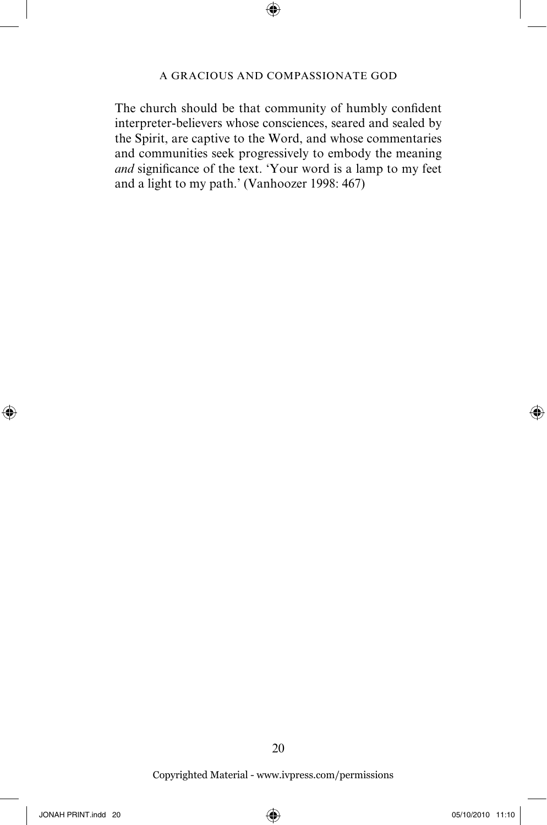⊕

The church should be that community of humbly confident interpreter-believers whose consciences, seared and sealed by the Spirit, are captive to the Word, and whose commentaries and communities seek progressively to embody the meaning and significance of the text. 'Your word is a lamp to my feet and a light to my path.' (Vanhoozer 1998: 467)

20

#### Copyrighted Material - www.ivpress.com/permissions

◈

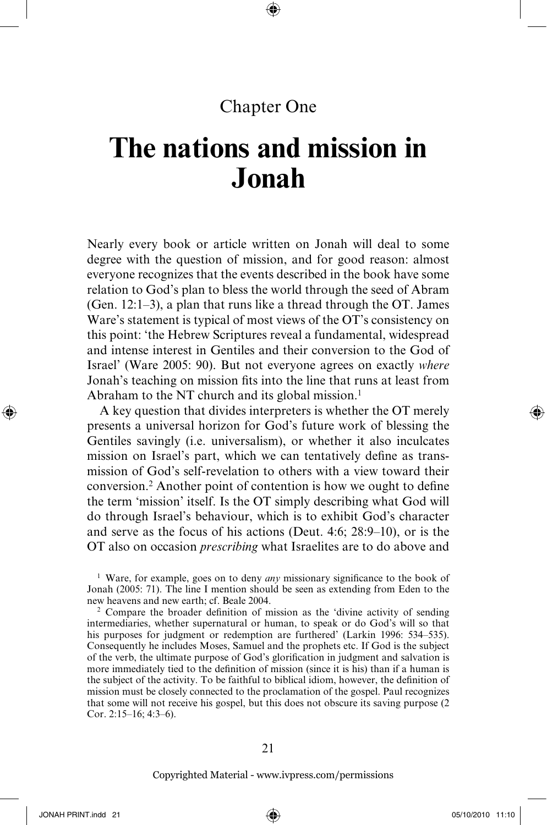# Chapter One

# **The nations and mission in Jonah**

Nearly every book or article written on Jonah will deal to some degree with the question of mission, and for good reason: almost everyone recognizes that the events described in the book have some relation to God's plan to bless the world through the seed of Abram (Gen. 12:1–3), a plan that runs like a thread through the OT. James Ware's statement is typical of most views of the OT's consistency on this point: 'the Hebrew Scriptures reveal a fundamental, widespread and intense interest in Gentiles and their conversion to the God of Israel' (Ware 2005: 90). But not everyone agrees on exactly *where*  Jonah's teaching on mission fits into the line that runs at least from Abraham to the NT church and its global mission.<sup>1</sup>

A key question that divides interpreters is whether the OT merely presents a universal horizon for God's future work of blessing the Gentiles savingly (i.e. universalism), or whether it also inculcates mission on Israel's part, which we can tentatively define as transmission of God's self-revelation to others with a view toward their conversion.<sup>2</sup> Another point of contention is how we ought to define the term 'mission' itself. Is the OT simply describing what God will do through Israel's behaviour, which is to exhibit God's character and serve as the focus of his actions (Deut. 4:6; 28:9–10), or is the OT also on occasion *prescribing* what Israelites are to do above and

<sup>1</sup> Ware, for example, goes on to deny *any* missionary significance to the book of Jonah (2005: 71). The line I mention should be seen as extending from Eden to the new heavens and new earth; cf. Beale 2004.

 $2$  Compare the broader definition of mission as the 'divine activity of sending intermediaries, whether supernatural or human, to speak or do God's will so that his purposes for judgment or redemption are furthered' (Larkin 1996: 534–535). Consequently he includes Moses, Samuel and the prophets etc. If God is the subject of the verb, the ultimate purpose of God's glorification in judgment and salvation is more immediately tied to the definition of mission (since it is his) than if a human is the subject of the activity. To be faithful to biblical idiom, however, the definition of mission must be closely connected to the proclamation of the gospel. Paul recognizes that some will not receive his gospel, but this does not obscure its saving purpose (2 Cor. 2:15–16; 4:3–6).

#### Copyrighted Material - www.ivpress.com/permissions

◈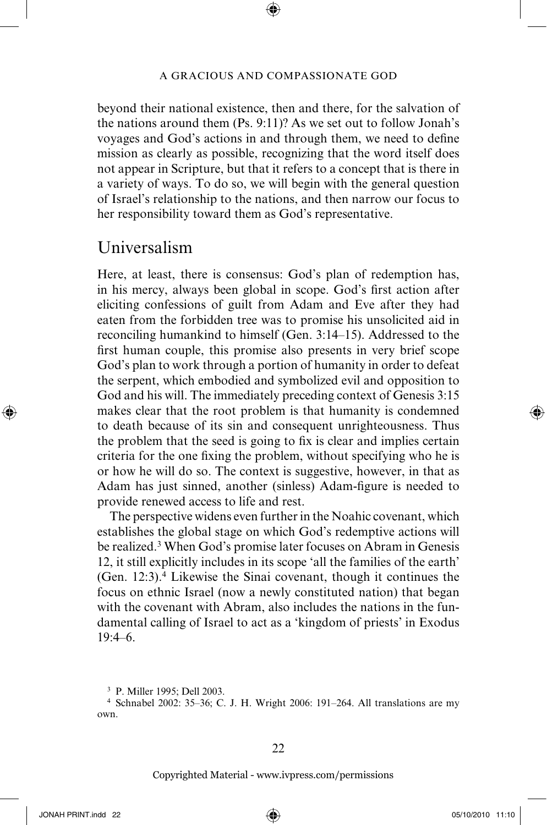⊕

beyond their national existence, then and there, for the salvation of the nations around them (Ps. 9:11)? As we set out to follow Jonah's voyages and God's actions in and through them, we need to define mission as clearly as possible, recognizing that the word itself does not appear in Scripture, but that it refers to a concept that is there in a variety of ways. To do so, we will begin with the general question of Israel's relationship to the nations, and then narrow our focus to her responsibility toward them as God's representative.

# Universalism

Here, at least, there is consensus: God's plan of redemption has, in his mercy, always been global in scope. God's first action after eliciting confessions of guilt from Adam and Eve after they had eaten from the forbidden tree was to promise his unsolicited aid in reconciling humankind to himself (Gen. 3:14–15). Addressed to the first human couple, this promise also presents in very brief scope God's plan to work through a portion of humanity in order to defeat the serpent, which embodied and symbolized evil and opposition to God and his will. The immediately preceding context of Genesis 3:15 makes clear that the root problem is that humanity is condemned to death because of its sin and consequent unrighteousness. Thus the problem that the seed is going to fix is clear and implies certain criteria for the one fixing the problem, without specifying who he is or how he will do so. The context is suggestive, however, in that as Adam has just sinned, another (sinless) Adam-figure is needed to provide renewed access to life and rest.

The perspective widens even further in the Noahic covenant, which establishes the global stage on which God's redemptive actions will be realized.3 When God's promise later focuses on Abram in Genesis 12, it still explicitly includes in its scope 'all the families of the earth' (Gen. 12:3).4 Likewise the Sinai covenant, though it continues the focus on ethnic Israel (now a newly constituted nation) that began with the covenant with Abram, also includes the nations in the fundamental calling of Israel to act as a 'kingdom of priests' in Exodus  $19.4-6$ 

4 Schnabel 2002: 35–36; C. J. H. Wright 2006: 191–264. All translations are my own.

#### Copyrighted Material - www.ivpress.com/permissions

◈

<sup>3</sup> P. Miller 1995; Dell 2003.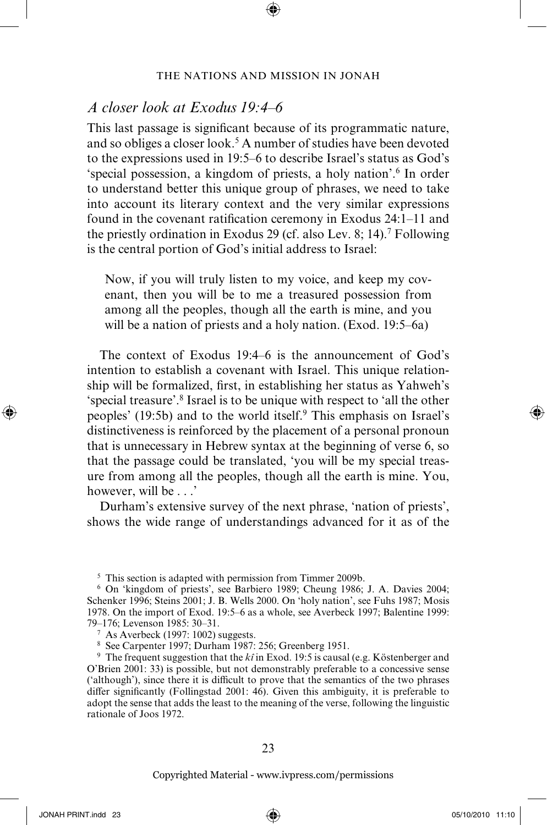# *A closer look at Exodus 19:4–6*

This last passage is significant because of its programmatic nature, and so obliges a closer look.<sup>5</sup> A number of studies have been devoted to the expressions used in 19:5–6 to describe Israel's status as God's 'special possession, a kingdom of priests, a holy nation'.6 In order to understand better this unique group of phrases, we need to take into account its literary context and the very similar expressions found in the covenant ratification ceremony in Exodus  $24:1-11$  and the priestly ordination in Exodus 29 (cf. also Lev. 8; 14).7 Following is the central portion of God's initial address to Israel:

Now, if you will truly listen to my voice, and keep my covenant, then you will be to me a treasured possession from among all the peoples, though all the earth is mine, and you will be a nation of priests and a holy nation. (Exod. 19:5–6a)

The context of Exodus 19:4–6 is the announcement of God's intention to establish a covenant with Israel. This unique relationship will be formalized, first, in establishing her status as Yahweh's 'special treasure'.8 Israel is to be unique with respect to 'all the other peoples' (19:5b) and to the world itself.9 This emphasis on Israel's distinctiveness is reinforced by the placement of a personal pronoun that is unnecessary in Hebrew syntax at the beginning of verse 6, so that the passage could be translated, 'you will be my special treasure from among all the peoples, though all the earth is mine. You, however, will be . . .'

Durham's extensive survey of the next phrase, 'nation of priests', shows the wide range of understandings advanced for it as of the

#### Copyrighted Material - www.ivpress.com/permissions

◈

<sup>&</sup>lt;sup>5</sup> This section is adapted with permission from Timmer 2009b.

<sup>6</sup> On 'kingdom of priests', see Barbiero 1989; Cheung 1986; J. A. Davies 2004; Schenker 1996; Steins 2001; J. B. Wells 2000. On 'holy nation', see Fuhs 1987; Mosis 1978. On the import of Exod. 19:5–6 as a whole, see Averbeck 1997; Balentine 1999: 79–176; Levenson 1985: 30–31.

<sup>7</sup> As Averbeck (1997: 1002) suggests.

<sup>8</sup> See Carpenter 1997; Durham 1987: 256; Greenberg 1951.

<sup>9</sup> The frequent suggestion that the *kî* in Exod. 19:5 is causal (e.g. Köstenberger and O'Brien 2001: 33) is possible, but not demonstrably preferable to a concessive sense ('although'), since there it is difficult to prove that the semantics of the two phrases differ significantly (Follingstad 2001:  $46$ ). Given this ambiguity, it is preferable to adopt the sense that adds the least to the meaning of the verse, following the linguistic rationale of Joos 1972.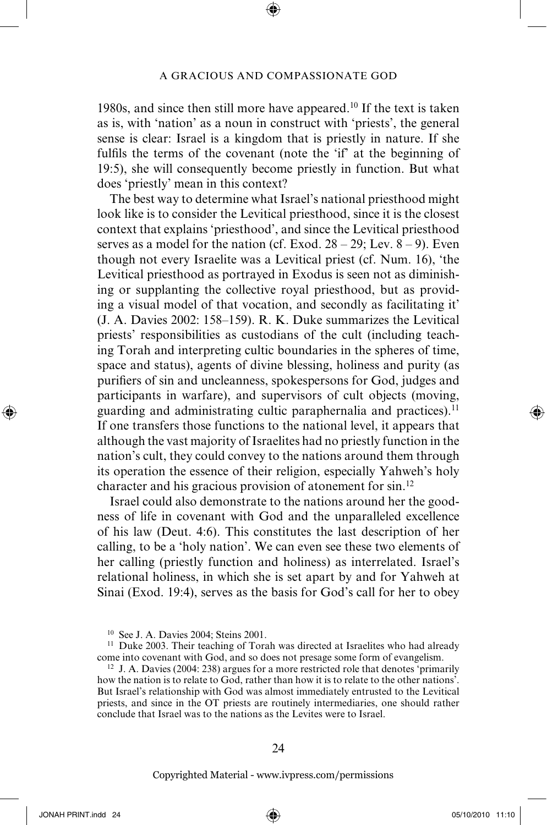1980s, and since then still more have appeared.10 If the text is taken as is, with 'nation' as a noun in construct with 'priests', the general sense is clear: Israel is a kingdom that is priestly in nature. If she fulfils the terms of the covenant (note the 'if' at the beginning of 19:5), she will consequently become priestly in function. But what does 'priestly' mean in this context?

The best way to determine what Israel's national priesthood might look like is to consider the Levitical priesthood, since it is the closest context that explains 'priesthood', and since the Levitical priesthood serves as a model for the nation (cf. Exod.  $28 - 29$ ; Lev.  $8 - 9$ ). Even though not every Israelite was a Levitical priest (cf. Num. 16), 'the Levitical priesthood as portrayed in Exodus is seen not as diminishing or supplanting the collective royal priesthood, but as providing a visual model of that vocation, and secondly as facilitating it' (J. A. Davies 2002: 158–159). R. K. Duke summarizes the Levitical priests' responsibilities as custodians of the cult (including teaching Torah and interpreting cultic boundaries in the spheres of time, space and status), agents of divine blessing, holiness and purity (as purifiers of sin and uncleanness, spokespersons for God, judges and participants in warfare), and supervisors of cult objects (moving, guarding and administrating cultic paraphernalia and practices).<sup>11</sup> If one transfers those functions to the national level, it appears that although the vast majority of Israelites had no priestly function in the nation's cult, they could convey to the nations around them through its operation the essence of their religion, especially Yahweh's holy character and his gracious provision of atonement for sin.12

Israel could also demonstrate to the nations around her the goodness of life in covenant with God and the unparalleled excellence of his law (Deut. 4:6). This constitutes the last description of her calling, to be a 'holy nation'. We can even see these two elements of her calling (priestly function and holiness) as interrelated. Israel's relational holiness, in which she is set apart by and for Yahweh at Sinai (Exod. 19:4), serves as the basis for God's call for her to obey

#### 24

#### Copyrighted Material - www.ivpress.com/permissions

◈

<sup>10</sup> See J. A. Davies 2004; Steins 2001.

<sup>&</sup>lt;sup>11</sup> Duke 2003. Their teaching of Torah was directed at Israelites who had already come into covenant with God, and so does not presage some form of evangelism.

<sup>&</sup>lt;sup>12</sup> J. A. Davies (2004: 238) argues for a more restricted role that denotes 'primarily how the nation is to relate to God, rather than how it is to relate to the other nations'. But Israel's relationship with God was almost immediately entrusted to the Levitical priests, and since in the OT priests are routinely intermediaries, one should rather conclude that Israel was to the nations as the Levites were to Israel.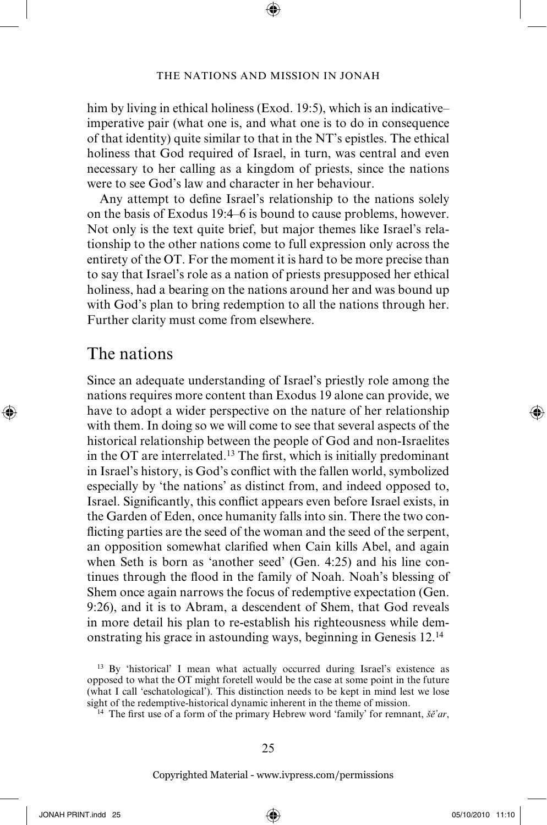him by living in ethical holiness (Exod. 19:5), which is an indicative– imperative pair (what one is, and what one is to do in consequence of that identity) quite similar to that in the NT's epistles. The ethical holiness that God required of Israel, in turn, was central and even necessary to her calling as a kingdom of priests, since the nations were to see God's law and character in her behaviour.

Any attempt to define Israel's relationship to the nations solely on the basis of Exodus 19:4–6 is bound to cause problems, however. Not only is the text quite brief, but major themes like Israel's relationship to the other nations come to full expression only across the entirety of the OT. For the moment it is hard to be more precise than to say that Israel's role as a nation of priests presupposed her ethical holiness, had a bearing on the nations around her and was bound up with God's plan to bring redemption to all the nations through her. Further clarity must come from elsewhere.

# The nations

◈

Since an adequate understanding of Israel's priestly role among the nations requires more content than Exodus 19 alone can provide, we have to adopt a wider perspective on the nature of her relationship with them. In doing so we will come to see that several aspects of the historical relationship between the people of God and non-Israelites in the OT are interrelated.<sup>13</sup> The first, which is initially predominant in Israel's history, is God's conflict with the fallen world, symbolized especially by 'the nations' as distinct from, and indeed opposed to, Israel. Significantly, this conflict appears even before Israel exists, in the Garden of Eden, once humanity falls into sin. There the two con flicting parties are the seed of the woman and the seed of the serpent, an opposition somewhat clarified when Cain kills Abel, and again when Seth is born as 'another seed' (Gen. 4:25) and his line continues through the flood in the family of Noah. Noah's blessing of Shem once again narrows the focus of redemptive expectation (Gen. 9:26), and it is to Abram, a descendent of Shem, that God reveals in more detail his plan to re-establish his righteousness while demonstrating his grace in astounding ways, beginning in Genesis 12.14

#### Copyrighted Material - www.ivpress.com/permissions

<sup>13</sup> By 'historical' I mean what actually occurred during Israel's existence as opposed to what the OT might foretell would be the case at some point in the future (what I call 'eschatological'). This distinction needs to be kept in mind lest we lose sight of the redemptive-historical dynamic inherent in the theme of mission.

<sup>&</sup>lt;sup>14</sup> The first use of a form of the primary Hebrew word 'family' for remnant,  $\delta \check{e}$ 'ar,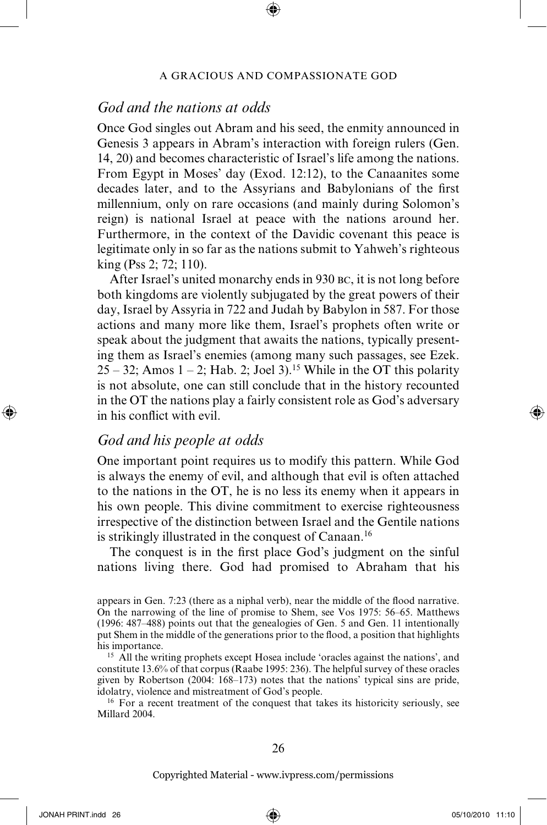# *God and the nations at odds*

Once God singles out Abram and his seed, the enmity announced in Genesis 3 appears in Abram's interaction with foreign rulers (Gen. 14, 20) and becomes characteristic of Israel's life among the nations. From Egypt in Moses' day (Exod. 12:12), to the Canaanites some decades later, and to the Assyrians and Babylonians of the first millennium, only on rare occasions (and mainly during Solomon's reign) is national Israel at peace with the nations around her. Furthermore, in the context of the Davidic covenant this peace is legitimate only in so far as the nations submit to Yahweh's righteous king (Pss 2; 72; 110).

After Israel's united monarchy ends in 930 bc, it is not long before both kingdoms are violently subjugated by the great powers of their day, Israel by Assyria in 722 and Judah by Babylon in 587. For those actions and many more like them, Israel's prophets often write or speak about the judgment that awaits the nations, typically presenting them as Israel's enemies (among many such passages, see Ezek.  $25 - 32$ ; Amos  $1 - 2$ ; Hab. 2; Joel 3).<sup>15</sup> While in the OT this polarity is not absolute, one can still conclude that in the history recounted in the OT the nations play a fairly consistent role as God's adversary in his conflict with evil.

## *God and his people at odds*

One important point requires us to modify this pattern. While God is always the enemy of evil, and although that evil is often attached to the nations in the OT, he is no less its enemy when it appears in his own people. This divine commitment to exercise righteousness irrespective of the distinction between Israel and the Gentile nations is strikingly illustrated in the conquest of Canaan.<sup>16</sup>

The conquest is in the first place God's judgment on the sinful nations living there. God had promised to Abraham that his

<sup>15</sup> All the writing prophets except Hosea include 'oracles against the nations', and constitute 13.6% of that corpus (Raabe 1995: 236). The helpful survey of these oracles given by Robertson (2004: 168–173) notes that the nations' typical sins are pride, idolatry, violence and mistreatment of God's people.

<sup>16</sup> For a recent treatment of the conquest that takes its historicity seriously, see Millard 2004.

#### 26

#### Copyrighted Material - www.ivpress.com/permissions

◈

appears in Gen. 7:23 (there as a niphal verb), near the middle of the flood narrative. On the narrowing of the line of promise to Shem, see Vos 1975: 56–65. Matthews (1996: 487–488) points out that the genealogies of Gen. 5 and Gen. 11 intentionally put Shem in the middle of the generations prior to the flood, a position that highlights his importance.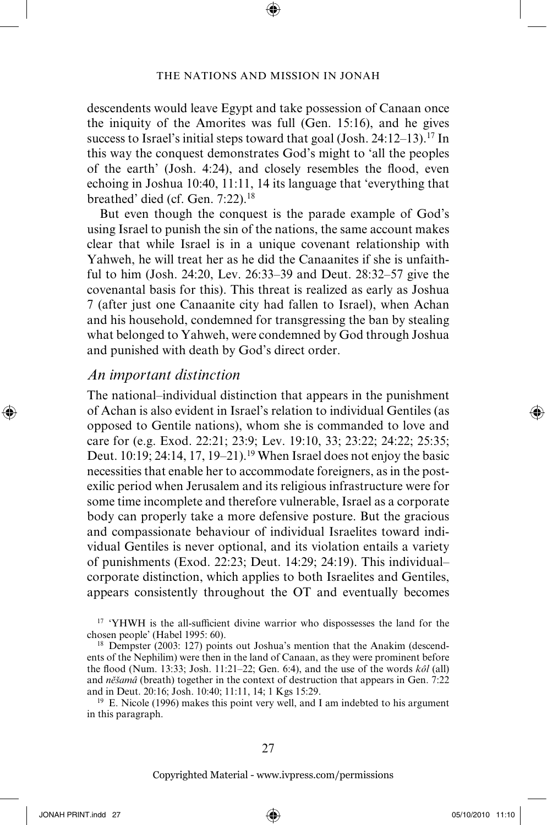descendents would leave Egypt and take possession of Canaan once the iniquity of the Amorites was full (Gen. 15:16), and he gives success to Israel's initial steps toward that goal (Josh.  $24:12-13$ ).<sup>17</sup> In this way the conquest demonstrates God's might to 'all the peoples of the earth' (Josh. 4:24), and closely resembles the flood, even echoing in Joshua 10:40, 11:11, 14 its language that 'everything that breathed' died (cf. Gen. 7:22).18

But even though the conquest is the parade example of God's using Israel to punish the sin of the nations, the same account makes clear that while Israel is in a unique covenant relationship with Yahweh, he will treat her as he did the Canaanites if she is unfaithful to him (Josh. 24:20, Lev. 26:33–39 and Deut. 28:32–57 give the covenantal basis for this). This threat is realized as early as Joshua 7 (after just one Canaanite city had fallen to Israel), when Achan and his household, condemned for transgressing the ban by stealing what belonged to Yahweh, were condemned by God through Joshua and punished with death by God's direct order.

### *An important distinction*

The national–individual distinction that appears in the punishment of Achan is also evident in Israel's relation to individual Gentiles (as opposed to Gentile nations), whom she is commanded to love and care for (e.g. Exod. 22:21; 23:9; Lev. 19:10, 33; 23:22; 24:22; 25:35; Deut. 10:19; 24:14, 17, 19–21).19 When Israel does not enjoy the basic necessities that enable her to accommodate foreigners, as in the postexilic period when Jerusalem and its religious infrastructure were for some time incomplete and therefore vulnerable, Israel as a corporate body can properly take a more defensive posture. But the gracious and compassionate behaviour of individual Israelites toward individual Gentiles is never optional, and its violation entails a variety of punishments (Exod. 22:23; Deut. 14:29; 24:19). This individual– corporate distinction, which applies to both Israelites and Gentiles, appears consistently throughout the OT and eventually becomes

<sup>17</sup> 'YHWH is the all-sufficient divine warrior who dispossesses the land for the chosen people' (Habel 1995: 60).

<sup>18</sup> Dempster (2003: 127) points out Joshua's mention that the Anakim (descendents of the Nephilim) were then in the land of Canaan, as they were prominent before the flood (Num. 13:33; Josh. 11:21–22; Gen. 6:4), and the use of the words  $k \partial l$  (all) and *něšamâ* (breath) together in the context of destruction that appears in Gen. 7:22 and in Deut. 20:16; Josh. 10:40; 11:11, 14; 1 Kgs 15:29.

 $19\text{ E}$ . Nicole (1996) makes this point very well, and I am indebted to his argument in this paragraph.

◈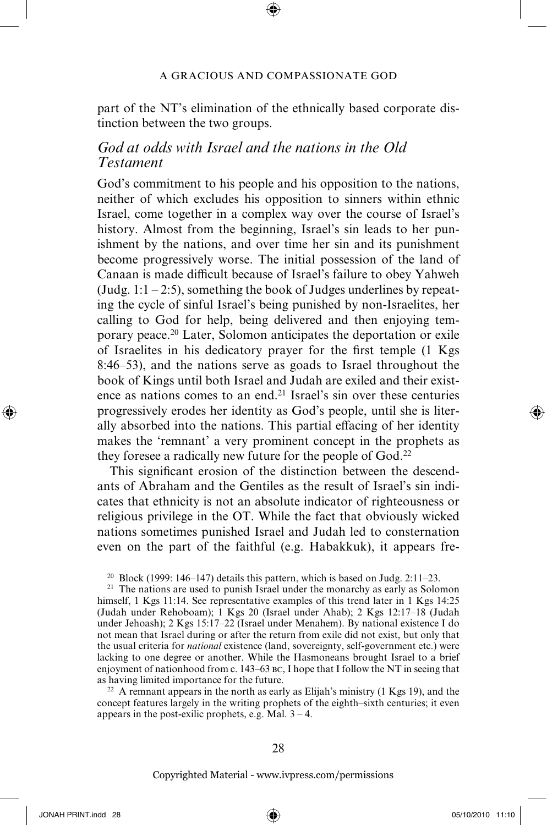part of the NT's elimination of the ethnically based corporate distinction between the two groups.

# *God at odds with Israel and the nations in the Old Testament*

God's commitment to his people and his opposition to the nations, neither of which excludes his opposition to sinners within ethnic Israel, come together in a complex way over the course of Israel's history. Almost from the beginning, Israel's sin leads to her punishment by the nations, and over time her sin and its punishment become progressively worse. The initial possession of the land of Canaan is made difficult because of Israel's failure to obey Yahweh (Judg.  $1:1-2:5$ ), something the book of Judges underlines by repeating the cycle of sinful Israel's being punished by non-Israelites, her calling to God for help, being delivered and then enjoying temporary peace.20 Later, Solomon anticipates the deportation or exile of Israelites in his dedicatory prayer for the first temple  $(1 \text{ Kgs})$ 8:46–53), and the nations serve as goads to Israel throughout the book of Kings until both Israel and Judah are exiled and their existence as nations comes to an end.21 Israel's sin over these centuries progressively erodes her identity as God's people, until she is literally absorbed into the nations. This partial effacing of her identity makes the 'remnant' a very prominent concept in the prophets as they foresee a radically new future for the people of God.22

This significant erosion of the distinction between the descendants of Abraham and the Gentiles as the result of Israel's sin indicates that ethnicity is not an absolute indicator of righteousness or religious privilege in the OT. While the fact that obviously wicked nations sometimes punished Israel and Judah led to consternation even on the part of the faithful (e.g. Habakkuk), it appears fre-

<sup>20</sup> Block (1999: 146–147) details this pattern, which is based on Judg.  $2:11-23$ .

<sup>21</sup> The nations are used to punish Israel under the monarchy as early as Solomon himself, 1 Kgs 11:14. See representative examples of this trend later in 1 Kgs 14:25 (Judah under Rehoboam); 1 Kgs 20 (Israel under Ahab); 2 Kgs 12:17–18 (Judah under Jehoash); 2 Kgs 15:17–22 (Israel under Menahem). By national existence I do not mean that Israel during or after the return from exile did not exist, but only that the usual criteria for *national* existence (land, sovereignty, self-government etc.) were lacking to one degree or another. While the Hasmoneans brought Israel to a brief enjoyment of nationhood from c. 143–63 bc, I hope that I follow the NT in seeing that as having limited importance for the future.

<sup>22</sup> A remnant appears in the north as early as Elijah's ministry (1 Kgs 19), and the concept features largely in the writing prophets of the eighth–sixth centuries; it even appears in the post-exilic prophets, e.g. Mal.  $3 - 4$ .

◈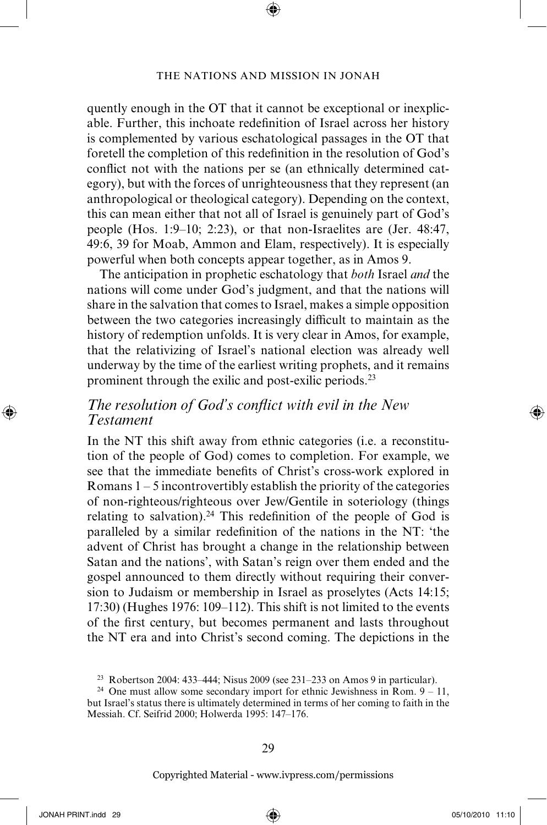quently enough in the OT that it cannot be exceptional or inexplicable. Further, this inchoate redefinition of Israel across her history is complemented by various eschatological passages in the OT that foretell the completion of this redefinition in the resolution of God's conflict not with the nations per se (an ethnically determined category), but with the forces of unrighteousness that they represent (an anthropological or theological category). Depending on the context, this can mean either that not all of Israel is genuinely part of God's people (Hos. 1:9–10; 2:23), or that non-Israelites are (Jer. 48:47, 49:6, 39 for Moab, Ammon and Elam, respectively). It is especially powerful when both concepts appear together, as in Amos 9.

The anticipation in prophetic eschatology that *both* Israel *and* the nations will come under God's judgment, and that the nations will share in the salvation that comes to Israel, makes a simple opposition between the two categories increasingly difficult to maintain as the history of redemption unfolds. It is very clear in Amos, for example, that the relativizing of Israel's national election was already well underway by the time of the earliest writing prophets, and it remains prominent through the exilic and post-exilic periods.23

## *The resolution of God's conflict with evil in the New Testament*

In the NT this shift away from ethnic categories (i.e. a reconstitution of the people of God) comes to completion. For example, we see that the immediate benefits of Christ's cross-work explored in Romans  $1 - 5$  incontrovertibly establish the priority of the categories of non-righteous/righteous over Jew/Gentile in soteriology (things relating to salvation).<sup>24</sup> This redefinition of the people of God is paralleled by a similar redefinition of the nations in the NT: 'the advent of Christ has brought a change in the relationship between Satan and the nations', with Satan's reign over them ended and the gospel announced to them directly without requiring their conversion to Judaism or membership in Israel as proselytes (Acts 14:15; 17:30) (Hughes 1976: 109–112). This shift is not limited to the events of the first century, but becomes permanent and lasts throughout the NT era and into Christ's second coming. The depictions in the

⊕

<sup>23</sup> Robertson 2004: 433–444; Nisus 2009 (see 231–233 on Amos 9 in particular).

<sup>&</sup>lt;sup>24</sup> One must allow some secondary import for ethnic Jewishness in Rom.  $9 - 11$ , but Israel's status there is ultimately determined in terms of her coming to faith in the Messiah. Cf. Seifrid 2000; Holwerda 1995: 147–176.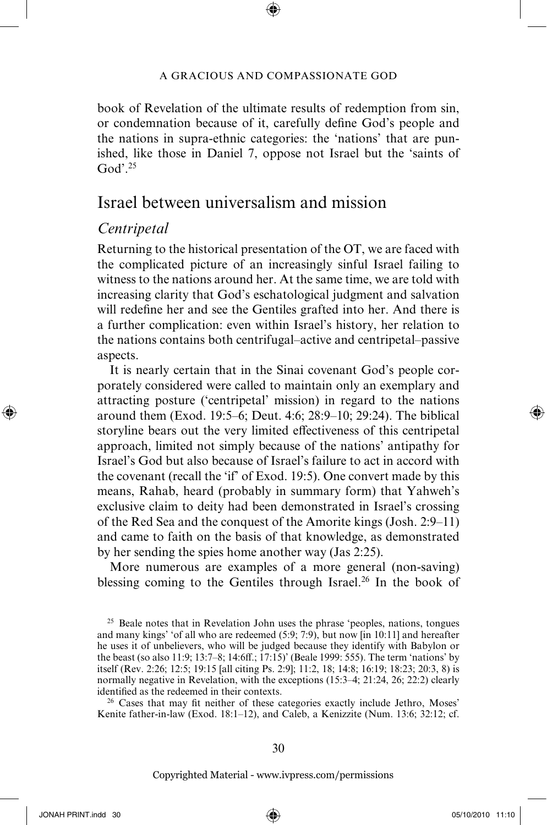book of Revelation of the ultimate results of redemption from sin, or condemnation because of it, carefully define God's people and the nations in supra-ethnic categories: the 'nations' that are punished, like those in Daniel 7, oppose not Israel but the 'saints of  $God'$ <sup>25</sup>

# Israel between universalism and mission

## *Centripetal*

Returning to the historical presentation of the OT, we are faced with the complicated picture of an increasingly sinful Israel failing to witness to the nations around her. At the same time, we are told with increasing clarity that God's eschatological judgment and salvation will redefine her and see the Gentiles grafted into her. And there is a further complication: even within Israel's history, her relation to the nations contains both centrifugal–active and centripetal–passive aspects.

It is nearly certain that in the Sinai covenant God's people corporately considered were called to maintain only an exemplary and attracting posture ('centripetal' mission) in regard to the nations around them (Exod. 19:5–6; Deut. 4:6; 28:9–10; 29:24). The biblical storyline bears out the very limited effectiveness of this centripetal approach, limited not simply because of the nations' antipathy for Israel's God but also because of Israel's failure to act in accord with the covenant (recall the 'if' of Exod. 19:5). One convert made by this means, Rahab, heard (probably in summary form) that Yahweh's exclusive claim to deity had been demonstrated in Israel's crossing of the Red Sea and the conquest of the Amorite kings (Josh. 2:9–11) and came to faith on the basis of that knowledge, as demonstrated by her sending the spies home another way (Jas 2:25).

More numerous are examples of a more general (non-saving) blessing coming to the Gentiles through Israel.<sup>26</sup> In the book of

 $26$  Cases that may fit neither of these categories exactly include Jethro, Moses' Kenite father-in-law (Exod. 18:1–12), and Caleb, a Kenizzite (Num. 13:6; 32:12; cf.

#### Copyrighted Material - www.ivpress.com/permissions

◈

<sup>&</sup>lt;sup>25</sup> Beale notes that in Revelation John uses the phrase 'peoples, nations, tongues and many kings' 'of all who are redeemed (5:9; 7:9), but now [in 10:11] and hereafter he uses it of unbelievers, who will be judged because they identify with Babylon or the beast (so also 11:9; 13:7–8; 14:6ff.; 17:15)' (Beale 1999: 555). The term 'nations' by itself (Rev. 2:26; 12:5; 19:15 [all citing Ps. 2:9]; 11:2, 18; 14:8; 16:19; 18:23; 20:3, 8) is normally negative in Revelation, with the exceptions (15:3–4; 21:24, 26; 22:2) clearly identified as the redeemed in their contexts.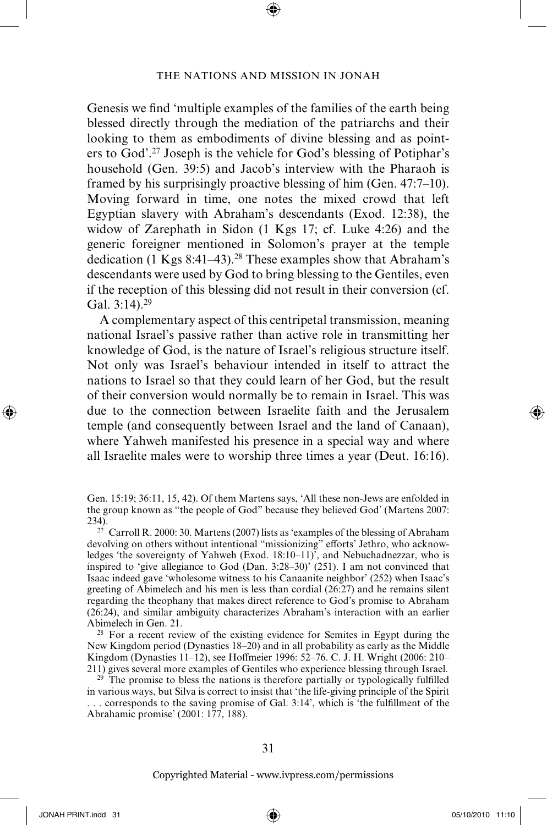Genesis we find 'multiple examples of the families of the earth being blessed directly through the mediation of the patriarchs and their looking to them as embodiments of divine blessing and as pointers to God'.27 Joseph is the vehicle for God's blessing of Potiphar's household (Gen. 39:5) and Jacob's interview with the Pharaoh is framed by his surprisingly proactive blessing of him (Gen. 47:7–10). Moving forward in time, one notes the mixed crowd that left Egyptian slavery with Abraham's descendants (Exod. 12:38), the widow of Zarephath in Sidon (1 Kgs 17; cf. Luke 4:26) and the generic foreigner mentioned in Solomon's prayer at the temple dedication (1 Kgs 8:41–43).28 These examples show that Abraham's descendants were used by God to bring blessing to the Gentiles, even if the reception of this blessing did not result in their conversion (cf. Gal. 3:14).29

A complementary aspect of this centripetal transmission, meaning national Israel's passive rather than active role in transmitting her knowledge of God, is the nature of Israel's religious structure itself. Not only was Israel's behaviour intended in itself to attract the nations to Israel so that they could learn of her God, but the result of their conversion would normally be to remain in Israel. This was due to the connection between Israelite faith and the Jerusalem temple (and consequently between Israel and the land of Canaan), where Yahweh manifested his presence in a special way and where all Israelite males were to worship three times a year (Deut. 16:16).

 $28$  For a recent review of the existing evidence for Semites in Egypt during the New Kingdom period (Dynasties 18–20) and in all probability as early as the Middle Kingdom (Dynasties 11–12), see Hoffmeier 1996: 52–76. C. J. H. Wright (2006: 210– 211) gives several more examples of Gentiles who experience blessing through Israel.

 $29$  The promise to bless the nations is therefore partially or typologically fulfilled in various ways, but Silva is correct to insist that 'the life-giving principle of the Spirit

 $\ldots$  corresponds to the saving promise of Gal. 3:14', which is 'the fulfillment of the Abrahamic promise' (2001: 177, 188).

#### Copyrighted Material - www.ivpress.com/permissions

◈

Gen. 15:19; 36:11, 15, 42). Of them Martens says, 'All these non-Jews are enfolded in the group known as "the people of God" because they believed God' (Martens 2007: 234).

 $2^{7}$  Carroll R. 2000: 30. Martens (2007) lists as 'examples of the blessing of Abraham devolving on others without intentional "missionizing" efforts' Jethro, who acknowledges 'the sovereignty of Yahweh (Exod. 18:10–11)', and Nebuchadnezzar, who is inspired to 'give allegiance to God (Dan. 3:28–30)' (251). I am not convinced that Isaac indeed gave 'wholesome witness to his Canaanite neighbor' (252) when Isaac's greeting of Abimelech and his men is less than cordial (26:27) and he remains silent regarding the theophany that makes direct reference to God's promise to Abraham (26:24), and similar ambiguity characterizes Abraham's interaction with an earlier Abimelech in Gen. 21.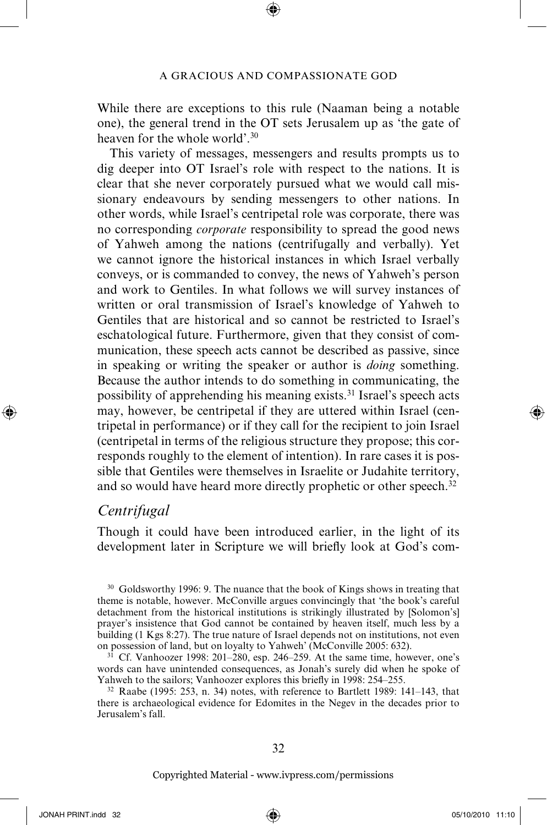While there are exceptions to this rule (Naaman being a notable one), the general trend in the OT sets Jerusalem up as 'the gate of heaven for the whole world'.30

This variety of messages, messengers and results prompts us to dig deeper into OT Israel's role with respect to the nations. It is clear that she never corporately pursued what we would call missionary endeavours by sending messengers to other nations. In other words, while Israel's centripetal role was corporate, there was no corresponding *corporate* responsibility to spread the good news of Yahweh among the nations (centrifugally and verbally). Yet we cannot ignore the historical instances in which Israel verbally conveys, or is commanded to convey, the news of Yahweh's person and work to Gentiles. In what follows we will survey instances of written or oral transmission of Israel's knowledge of Yahweh to Gentiles that are historical and so cannot be restricted to Israel's eschatological future. Furthermore, given that they consist of communication, these speech acts cannot be described as passive, since in speaking or writing the speaker or author is *doing* something. Because the author intends to do something in communicating, the possibility of apprehending his meaning exists.31 Israel's speech acts may, however, be centripetal if they are uttered within Israel (centripetal in performance) or if they call for the recipient to join Israel (centripetal in terms of the religious structure they propose; this corresponds roughly to the element of intention). In rare cases it is possible that Gentiles were themselves in Israelite or Judahite territory, and so would have heard more directly prophetic or other speech.32

# *Centrifugal*

◈

Though it could have been introduced earlier, in the light of its development later in Scripture we will briefly look at God's com-

<sup>32</sup> Raabe (1995: 253, n. 34) notes, with reference to Bartlett 1989: 141–143, that there is archaeological evidence for Edomites in the Negev in the decades prior to Jerusalem's fall.

<sup>30</sup> Goldsworthy 1996: 9. The nuance that the book of Kings shows in treating that theme is notable, however. McConville argues convincingly that 'the book's careful detachment from the historical institutions is strikingly illustrated by [Solomon's] prayer's insistence that God cannot be contained by heaven itself, much less by a building (1 Kgs 8:27). The true nature of Israel depends not on institutions, not even on possession of land, but on loyalty to Yahweh' (McConville 2005: 632).

<sup>31</sup> Cf. Vanhoozer 1998: 201–280, esp. 246–259. At the same time, however, one's words can have unintended consequences, as Jonah's surely did when he spoke of Yahweh to the sailors; Vanhoozer explores this briefly in 1998: 254–255.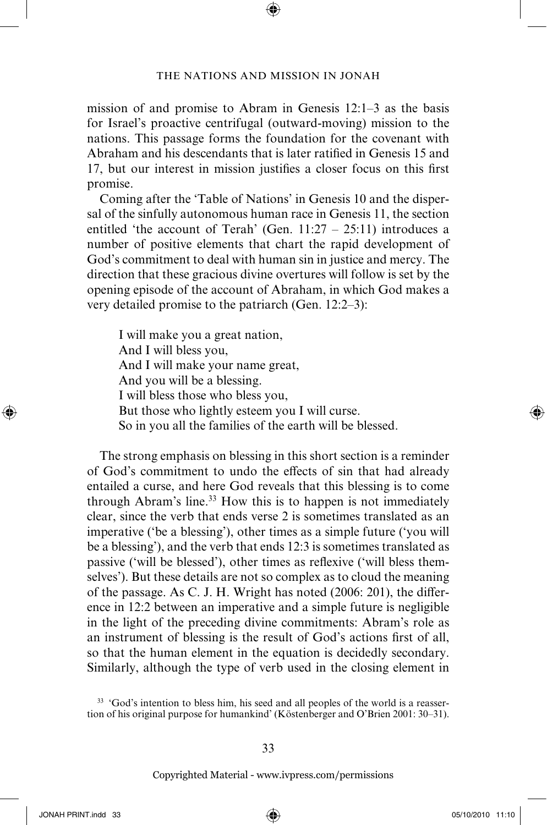⊕

mission of and promise to Abram in Genesis 12:1–3 as the basis for Israel's proactive centrifugal (outward-moving) mission to the nations. This passage forms the foundation for the covenant with Abraham and his descendants that is later ratified in Genesis 15 and 17, but our interest in mission justifies a closer focus on this first promise.

Coming after the 'Table of Nations' in Genesis 10 and the dispersal of the sinfully autonomous human race in Genesis 11, the section entitled 'the account of Terah' (Gen.  $11:27 - 25:11$ ) introduces a number of positive elements that chart the rapid development of God's commitment to deal with human sin in justice and mercy. The direction that these gracious divine overtures will follow is set by the opening episode of the account of Abraham, in which God makes a very detailed promise to the patriarch (Gen. 12:2–3):

I will make you a great nation, And I will bless you, And I will make your name great, And you will be a blessing. I will bless those who bless you, But those who lightly esteem you I will curse. So in you all the families of the earth will be blessed.

The strong emphasis on blessing in this short section is a reminder of God's commitment to undo the effects of sin that had already entailed a curse, and here God reveals that this blessing is to come through Abram's line.33 How this is to happen is not immediately clear, since the verb that ends verse 2 is sometimes translated as an imperative ('be a blessing'), other times as a simple future ('you will be a blessing'), and the verb that ends 12:3 is sometimes translated as passive ('will be blessed'), other times as reflexive ('will bless themselves'). But these details are not so complex as to cloud the meaning of the passage. As C. J. H. Wright has noted  $(2006: 201)$ , the difference in 12:2 between an imperative and a simple future is negligible in the light of the preceding divine commitments: Abram's role as an instrument of blessing is the result of God's actions first of all, so that the human element in the equation is decidedly secondary. Similarly, although the type of verb used in the closing element in

<sup>33</sup> 'God's intention to bless him, his seed and all peoples of the world is a reassertion of his original purpose for humankind' (Köstenberger and O'Brien 2001: 30–31).

◈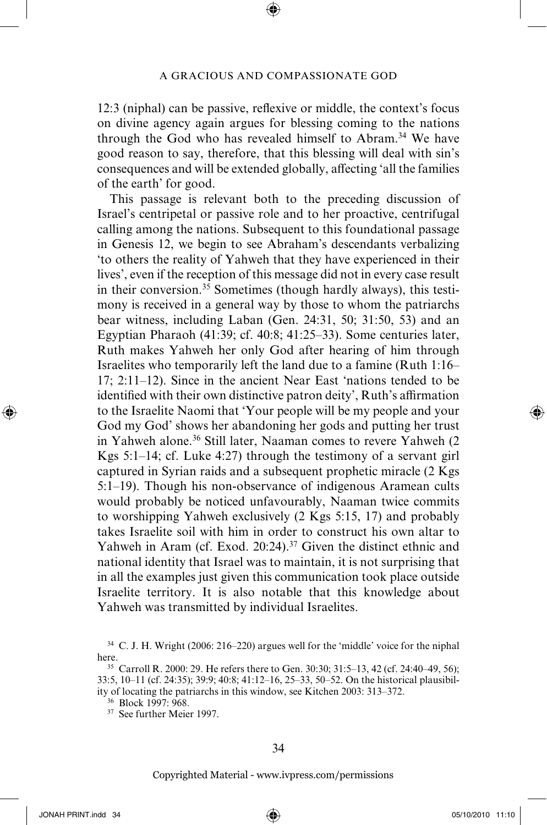⊕

12:3 (niphal) can be passive, reflexive or middle, the context's focus on divine agency again argues for blessing coming to the nations through the God who has revealed himself to Abram.34 We have good reason to say, therefore, that this blessing will deal with sin's consequences and will be extended globally, affecting 'all the families of the earth' for good.

This passage is relevant both to the preceding discussion of Israel's centripetal or passive role and to her proactive, centrifugal calling among the nations. Subsequent to this foundational passage in Genesis 12, we begin to see Abraham's descendants verbalizing 'to others the reality of Yahweh that they have experienced in their lives', even if the reception of this message did not in every case result in their conversion.35 Sometimes (though hardly always), this testimony is received in a general way by those to whom the patriarchs bear witness, including Laban (Gen. 24:31, 50; 31:50, 53) and an Egyptian Pharaoh (41:39; cf. 40:8; 41:25–33). Some centuries later, Ruth makes Yahweh her only God after hearing of him through Israelites who temporarily left the land due to a famine (Ruth 1:16– 17; 2:11–12). Since in the ancient Near East 'nations tended to be identified with their own distinctive patron deity', Ruth's affirmation to the Israelite Naomi that 'Your people will be my people and your God my God' shows her abandoning her gods and putting her trust in Yahweh alone.<sup>36</sup> Still later, Naaman comes to revere Yahweh (2 Kgs 5:1–14; cf. Luke 4:27) through the testimony of a servant girl captured in Syrian raids and a subsequent prophetic miracle (2 Kgs 5:1–19). Though his non-observance of indigenous Aramean cults would probably be noticed unfavourably, Naaman twice commits to worshipping Yahweh exclusively (2 Kgs 5:15, 17) and probably takes Israelite soil with him in order to construct his own altar to Yahweh in Aram (cf. Exod. 20:24).<sup>37</sup> Given the distinct ethnic and national identity that Israel was to maintain, it is not surprising that in all the examples just given this communication took place outside Israelite territory. It is also notable that this knowledge about Yahweh was transmitted by individual Israelites.

#### Copyrighted Material - www.ivpress.com/permissions

◈

<sup>34</sup> C. J. H. Wright (2006: 216–220) argues well for the 'middle' voice for the niphal here.

<sup>35</sup> Carroll R. 2000: 29. He refers there to Gen. 30:30; 31:5–13, 42 (cf. 24:40–49, 56); 33:5, 10–11 (cf. 24:35); 39:9; 40:8; 41:12–16, 25–33, 50–52. On the historical plausibility of locating the patriarchs in this window, see Kitchen 2003: 313–372.

<sup>36</sup> Block 1997: 968.

<sup>37</sup> See further Meier 1997.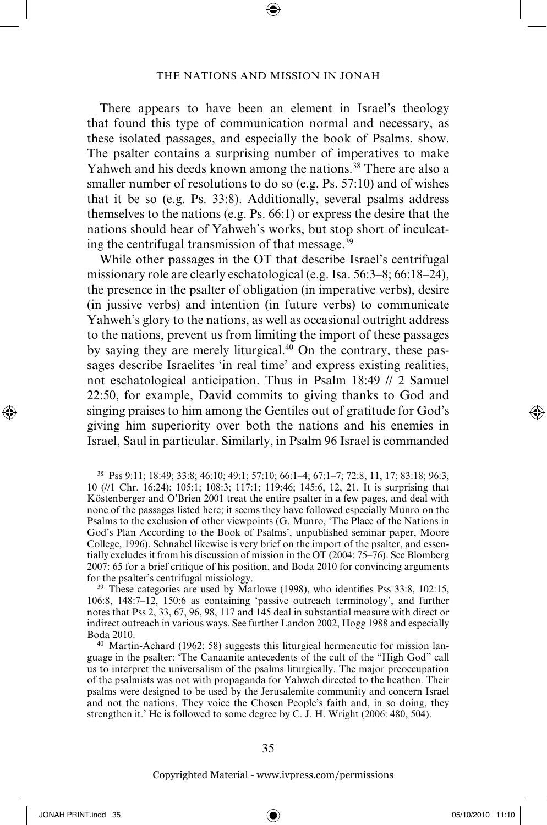There appears to have been an element in Israel's theology that found this type of communication normal and necessary, as these isolated passages, and especially the book of Psalms, show. The psalter contains a surprising number of imperatives to make Yahweh and his deeds known among the nations.<sup>38</sup> There are also a smaller number of resolutions to do so (e.g. Ps. 57:10) and of wishes that it be so (e.g. Ps. 33:8). Additionally, several psalms address themselves to the nations (e.g. Ps. 66:1) or express the desire that the nations should hear of Yahweh's works, but stop short of inculcating the centrifugal transmission of that message.39

While other passages in the OT that describe Israel's centrifugal missionary role are clearly eschatological (e.g. Isa. 56:3–8; 66:18–24), the presence in the psalter of obligation (in imperative verbs), desire (in jussive verbs) and intention (in future verbs) to communicate Yahweh's glory to the nations, as well as occasional outright address to the nations, prevent us from limiting the import of these passages by saying they are merely liturgical.40 On the contrary, these passages describe Israelites 'in real time' and express existing realities, not eschatological anticipation. Thus in Psalm 18:49 // 2 Samuel 22:50, for example, David commits to giving thanks to God and singing praises to him among the Gentiles out of gratitude for God's giving him superiority over both the nations and his enemies in Israel, Saul in particular. Similarly, in Psalm 96 Israel is commanded

38 Pss 9:11; 18:49; 33:8; 46:10; 49:1; 57:10; 66:1–4; 67:1–7; 72:8, 11, 17; 83:18; 96:3, 10 (//1 Chr. 16:24); 105:1; 108:3; 117:1; 119:46; 145:6, 12, 21. It is surprising that Köstenberger and O'Brien 2001 treat the entire psalter in a few pages, and deal with none of the passages listed here; it seems they have followed especially Munro on the Psalms to the exclusion of other viewpoints (G. Munro, 'The Place of the Nations in God's Plan According to the Book of Psalms', unpublished seminar paper, Moore College, 1996). Schnabel likewise is very brief on the import of the psalter, and essentially excludes it from his discussion of mission in the OT (2004: 75–76). See Blomberg 2007: 65 for a brief critique of his position, and Boda 2010 for convincing arguments for the psalter's centrifugal missiology.

 $39$  These categories are used by Marlowe (1998), who identifies Pss 33:8, 102:15, 106:8, 148:7–12, 150:6 as containing 'passive outreach terminology', and further notes that Pss 2, 33, 67, 96, 98, 117 and 145 deal in substantial measure with direct or indirect outreach in various ways. See further Landon 2002, Hogg 1988 and especially Boda 2010.

40 Martin-Achard (1962: 58) suggests this liturgical hermeneutic for mission language in the psalter: 'The Canaanite antecedents of the cult of the "High God" call us to interpret the universalism of the psalms liturgically. The major preoccupation of the psalmists was not with propaganda for Yahweh directed to the heathen. Their psalms were designed to be used by the Jerusalemite community and concern Israel and not the nations. They voice the Chosen People's faith and, in so doing, they strengthen it.' He is followed to some degree by C. J. H. Wright (2006: 480, 504).

#### Copyrighted Material - www.ivpress.com/permissions

◈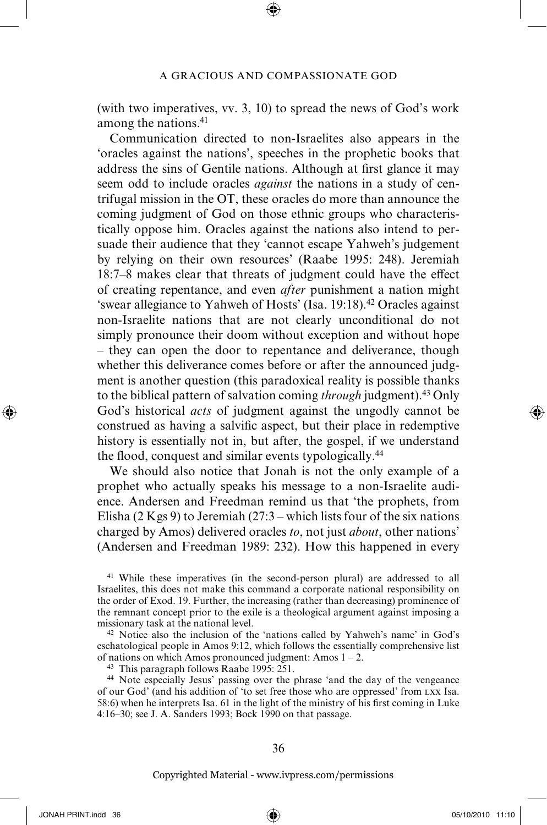(with two imperatives, vv. 3, 10) to spread the news of God's work among the nations.41

Communication directed to non-Israelites also appears in the 'oracles against the nations', speeches in the prophetic books that address the sins of Gentile nations. Although at first glance it may seem odd to include oracles *against* the nations in a study of centrifugal mission in the OT, these oracles do more than announce the coming judgment of God on those ethnic groups who characteristically oppose him. Oracles against the nations also intend to persuade their audience that they 'cannot escape Yahweh's judgement by relying on their own resources' (Raabe 1995: 248). Jeremiah 18:7–8 makes clear that threats of judgment could have the effect of creating repentance, and even *after* punishment a nation might 'swear allegiance to Yahweh of Hosts' (Isa. 19:18).42 Oracles against non-Israelite nations that are not clearly unconditional do not simply pronounce their doom without exception and without hope – they can open the door to repentance and deliverance, though whether this deliverance comes before or after the announced judgment is another question (this paradoxical reality is possible thanks to the biblical pattern of salvation coming *through* judgment).43 Only God's historical *acts* of judgment against the ungodly cannot be construed as having a salvific aspect, but their place in redemptive history is essentially not in, but after, the gospel, if we understand the flood, conquest and similar events typologically.<sup>44</sup>

We should also notice that Jonah is not the only example of a prophet who actually speaks his message to a non-Israelite audience. Andersen and Freedman remind us that 'the prophets, from Elisha (2 Kgs 9) to Jeremiah (27:3 – which lists four of the six nations charged by Amos) delivered oracles *to*, not just *about*, other nations' (Andersen and Freedman 1989: 232). How this happened in every

 $42$  Notice also the inclusion of the 'nations called by Yahweh's name' in God's eschatological people in Amos 9:12, which follows the essentially comprehensive list of nations on which Amos pronounced judgment: Amos 1 – 2.

43 This paragraph follows Raabe 1995: 251.

44 Note especially Jesus' passing over the phrase 'and the day of the vengeance of our God' (and his addition of 'to set free those who are oppressed' from lxx Isa.  $58:6$ ) when he interprets Isa.  $61$  in the light of the ministry of his first coming in Luke 4:16–30; see J. A. Sanders 1993; Bock 1990 on that passage.

◈

<sup>&</sup>lt;sup>41</sup> While these imperatives (in the second-person plural) are addressed to all Israelites, this does not make this command a corporate national responsibility on the order of Exod. 19. Further, the increasing (rather than decreasing) prominence of the remnant concept prior to the exile is a theological argument against imposing a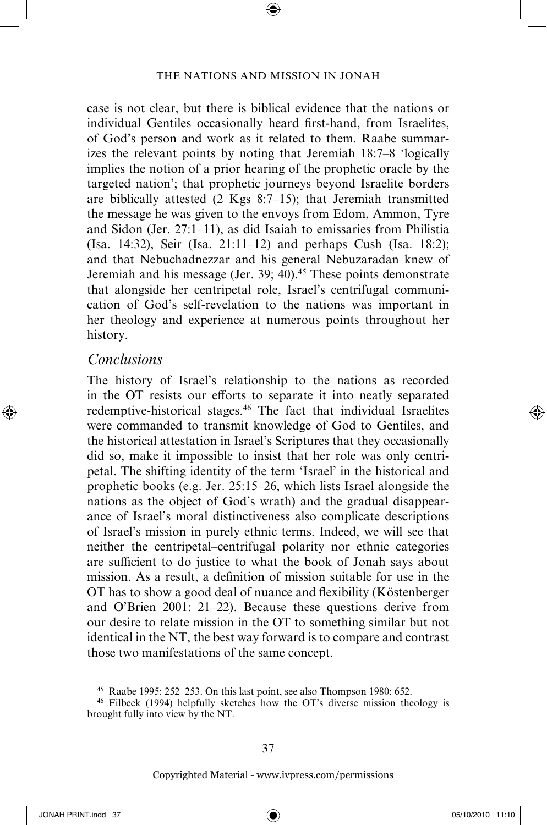case is not clear, but there is biblical evidence that the nations or individual Gentiles occasionally heard first-hand, from Israelites, of God's person and work as it related to them. Raabe summarizes the relevant points by noting that Jeremiah 18:7–8 'logically implies the notion of a prior hearing of the prophetic oracle by the targeted nation'; that prophetic journeys beyond Israelite borders are biblically attested  $(2 \text{ Kgs } 8:7-15)$ ; that Jeremiah transmitted the message he was given to the envoys from Edom, Ammon, Tyre and Sidon (Jer. 27:1–11), as did Isaiah to emissaries from Philistia (Isa. 14:32), Seir (Isa. 21:11–12) and perhaps Cush (Isa. 18:2); and that Nebuchadnezzar and his general Nebuzaradan knew of Jeremiah and his message (Jer. 39;  $40$ ).<sup>45</sup> These points demonstrate that alongside her centripetal role, Israel's centrifugal communication of God's self-revelation to the nations was important in her theology and experience at numerous points throughout her history.

## *Conclusions*

◈

The history of Israel's relationship to the nations as recorded in the OT resists our efforts to separate it into neatly separated redemptive-historical stages.46 The fact that individual Israelites were commanded to transmit knowledge of God to Gentiles, and the historical attestation in Israel's Scriptures that they occasionally did so, make it impossible to insist that her role was only centripetal. The shifting identity of the term 'Israel' in the historical and prophetic books (e.g. Jer. 25:15–26, which lists Israel alongside the nations as the object of God's wrath) and the gradual disappearance of Israel's moral distinctiveness also complicate descriptions of Israel's mission in purely ethnic terms. Indeed, we will see that neither the centripetal–centrifugal polarity nor ethnic categories are sufficient to do justice to what the book of Jonah says about mission. As a result, a definition of mission suitable for use in the OT has to show a good deal of nuance and flexibility (Köstenberger) and O'Brien 2001: 21–22). Because these questions derive from our desire to relate mission in the OT to something similar but not identical in the NT, the best way forward is to compare and contrast those two manifestations of the same concept.

<sup>45</sup> Raabe 1995: 252–253. On this last point, see also Thompson 1980: 652.

<sup>46</sup> Filbeck (1994) helpfully sketches how the OT's diverse mission theology is brought fully into view by the NT.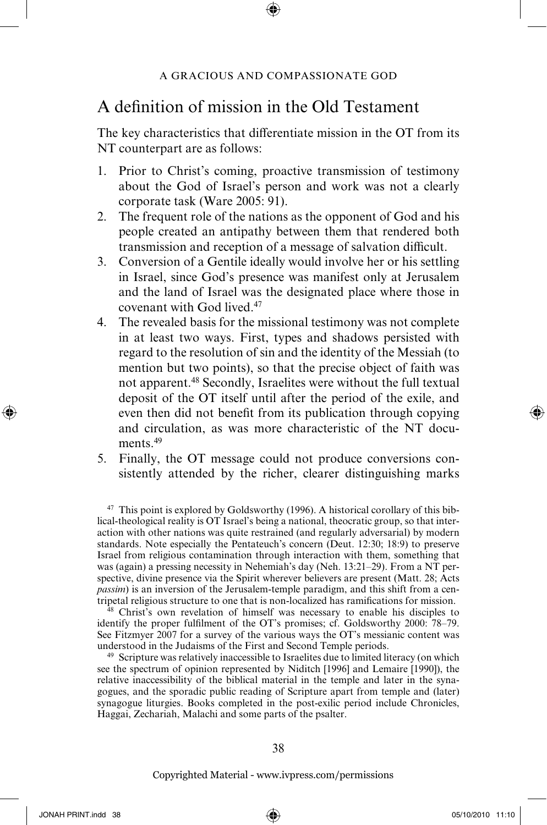# A definition of mission in the Old Testament

The key characteristics that differentiate mission in the OT from its NT counterpart are as follows:

- 1. Prior to Christ's coming, proactive transmission of testimony about the God of Israel's person and work was not a clearly corporate task (Ware 2005: 91).
- 2. The frequent role of the nations as the opponent of God and his people created an antipathy between them that rendered both transmission and reception of a message of salvation difficult.
- 3. Conversion of a Gentile ideally would involve her or his settling in Israel, since God's presence was manifest only at Jerusalem and the land of Israel was the designated place where those in covenant with God lived.47
- 4. The revealed basis for the missional testimony was not complete in at least two ways. First, types and shadows persisted with regard to the resolution of sin and the identity of the Messiah (to mention but two points), so that the precise object of faith was not apparent.48 Secondly, Israelites were without the full textual deposit of the OT itself until after the period of the exile, and even then did not benefit from its publication through copying and circulation, as was more characteristic of the NT documents.<sup>49</sup>
- 5. Finally, the OT message could not produce conversions consistently attended by the richer, clearer distinguishing marks

47 This point is explored by Goldsworthy (1996). A historical corollary of this biblical-theological reality is OT Israel's being a national, theocratic group, so that interaction with other nations was quite restrained (and regularly adversarial) by modern standards. Note especially the Pentateuch's concern (Deut. 12:30; 18:9) to preserve Israel from religious contamination through interaction with them, something that was (again) a pressing necessity in Nehemiah's day (Neh. 13:21–29). From a NT perspective, divine presence via the Spirit wherever believers are present (Matt. 28; Acts *passim*) is an inversion of the Jerusalem-temple paradigm, and this shift from a centripetal religious structure to one that is non-localized has ramifications for mission.

 $48$  Christ's own revelation of himself was necessary to enable his disciples to identify the proper fulfilment of the OT's promises; cf. Goldsworthy  $2000:78-79$ . See Fitzmyer 2007 for a survey of the various ways the OT's messianic content was understood in the Judaisms of the First and Second Temple periods.

49 Scripture was relatively inaccessible to Israelites due to limited literacy (on which see the spectrum of opinion represented by Niditch [1996] and Lemaire [1990]), the relative inaccessibility of the biblical material in the temple and later in the synagogues, and the sporadic public reading of Scripture apart from temple and (later) synagogue liturgies. Books completed in the post-exilic period include Chronicles, Haggai, Zechariah, Malachi and some parts of the psalter.

◈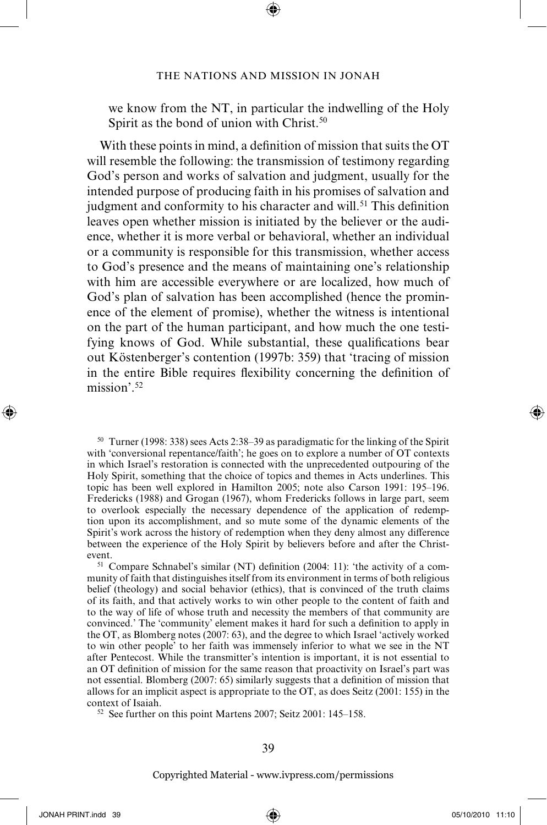we know from the NT, in particular the indwelling of the Holy Spirit as the bond of union with Christ.<sup>50</sup>

With these points in mind, a definition of mission that suits the OT will resemble the following: the transmission of testimony regarding God's person and works of salvation and judgment, usually for the intended purpose of producing faith in his promises of salvation and judgment and conformity to his character and will.<sup>51</sup> This definition leaves open whether mission is initiated by the believer or the audience, whether it is more verbal or behavioral, whether an individual or a community is responsible for this transmission, whether access to God's presence and the means of maintaining one's relationship with him are accessible everywhere or are localized, how much of God's plan of salvation has been accomplished (hence the prominence of the element of promise), whether the witness is intentional on the part of the human participant, and how much the one testifying knows of God. While substantial, these qualifications bear out Köstenberger's contention (1997b: 359) that 'tracing of mission in the entire Bible requires flexibility concerning the definition of mission'.52

50 Turner (1998: 338) sees Acts 2:38–39 as paradigmatic for the linking of the Spirit with 'conversional repentance/faith'; he goes on to explore a number of OT contexts in which Israel's restoration is connected with the unprecedented outpouring of the Holy Spirit, something that the choice of topics and themes in Acts underlines. This topic has been well explored in Hamilton 2005; note also Carson 1991: 195–196. Fredericks (1988) and Grogan (1967), whom Fredericks follows in large part, seem to overlook especially the necessary dependence of the application of redemption upon its accomplishment, and so mute some of the dynamic elements of the Spirit's work across the history of redemption when they deny almost any difference between the experience of the Holy Spirit by believers before and after the Christ-

<sup>51</sup> Compare Schnabel's similar (NT) definition (2004: 11): 'the activity of a community of faith that distinguishes itself from its environment in terms of both religious belief (theology) and social behavior (ethics), that is convinced of the truth claims of its faith, and that actively works to win other people to the content of faith and to the way of life of whose truth and necessity the members of that community are convinced.' The 'community' element makes it hard for such a definition to apply in the OT, as Blomberg notes (2007: 63), and the degree to which Israel 'actively worked to win other people' to her faith was immensely inferior to what we see in the NT after Pentecost. While the transmitter's intention is important, it is not essential to an OT definition of mission for the same reason that proactivity on Israel's part was not essential. Blomberg  $(2007; 65)$  similarly suggests that a definition of mission that allows for an implicit aspect is appropriate to the OT, as does Seitz (2001: 155) in the context of Isaiah.

52 See further on this point Martens 2007; Seitz 2001: 145–158.

39

#### Copyrighted Material - www.ivpress.com/permissions

◈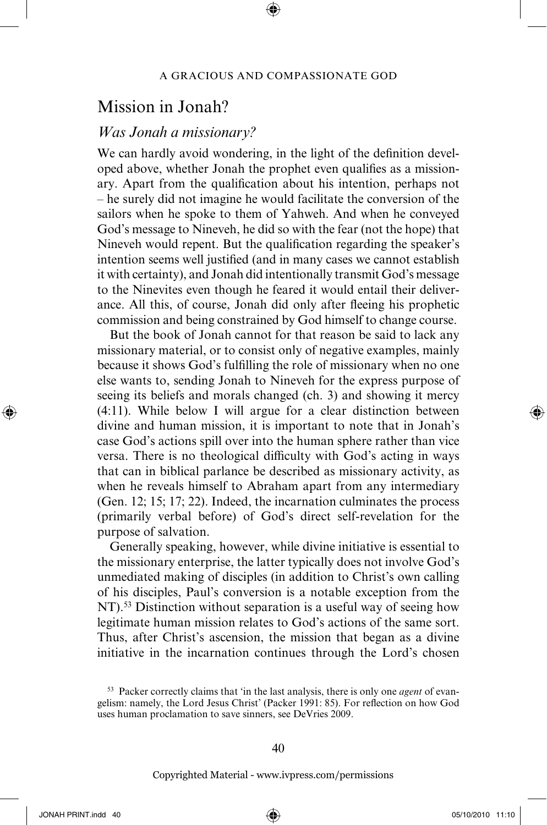# Mission in Jonah?

## *Was Jonah a missionary?*

We can hardly avoid wondering, in the light of the definition developed above, whether Jonah the prophet even qualifies as a missionary. Apart from the qualification about his intention, perhaps not – he surely did not imagine he would facilitate the conversion of the sailors when he spoke to them of Yahweh. And when he conveyed God's message to Nineveh, he did so with the fear (not the hope) that Nineveh would repent. But the qualification regarding the speaker's intention seems well justified (and in many cases we cannot establish it with certainty), and Jonah did intentionally transmit God's message to the Ninevites even though he feared it would entail their deliverance. All this, of course, Jonah did only after fleeing his prophetic commission and being constrained by God himself to change course.

But the book of Jonah cannot for that reason be said to lack any missionary material, or to consist only of negative examples, mainly because it shows God's fulfilling the role of missionary when no one else wants to, sending Jonah to Nineveh for the express purpose of seeing its beliefs and morals changed (ch. 3) and showing it mercy (4:11). While below I will argue for a clear distinction between divine and human mission, it is important to note that in Jonah's case God's actions spill over into the human sphere rather than vice versa. There is no theological difficulty with God's acting in ways that can in biblical parlance be described as missionary activity, as when he reveals himself to Abraham apart from any intermediary (Gen. 12; 15; 17; 22). Indeed, the incarnation culminates the process (primarily verbal before) of God's direct self-revelation for the purpose of salvation.

Generally speaking, however, while divine initiative is essential to the missionary enterprise, the latter typically does not involve God's unmediated making of disciples (in addition to Christ's own calling of his disciples, Paul's conversion is a notable exception from the NT).53 Distinction without separation is a useful way of seeing how legitimate human mission relates to God's actions of the same sort. Thus, after Christ's ascension, the mission that began as a divine initiative in the incarnation continues through the Lord's chosen

40

◈

<sup>53</sup> Packer correctly claims that 'in the last analysis, there is only one *agent* of evangelism: namely, the Lord Jesus Christ' (Packer 1991: 85). For reflection on how God uses human proclamation to save sinners, see DeVries 2009.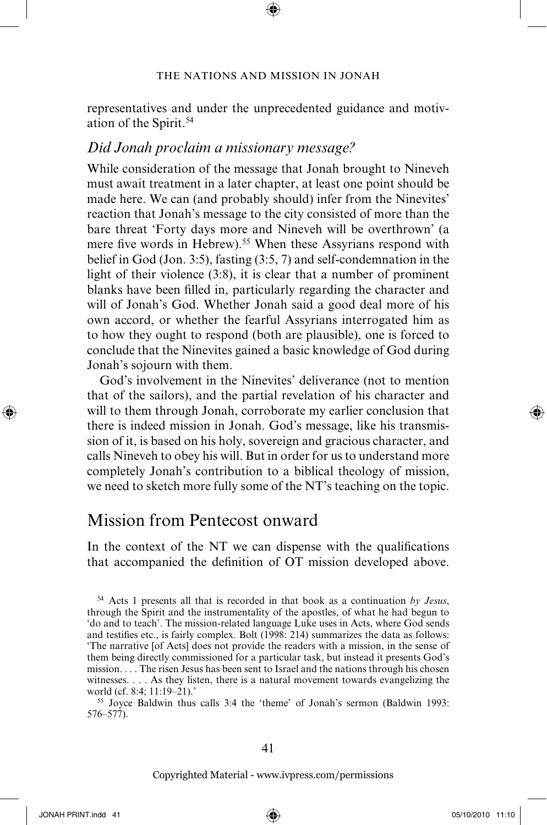representatives and under the unprecedented guidance and motivation of the Spirit.<sup>54</sup>

## *Did Jonah proclaim a missionary message?*

While consideration of the message that Jonah brought to Nineveh must await treatment in a later chapter, at least one point should be made here. We can (and probably should) infer from the Ninevites' reaction that Jonah's message to the city consisted of more than the bare threat 'Forty days more and Nineveh will be overthrown' (a mere five words in Hebrew).<sup>55</sup> When these Assyrians respond with belief in God (Jon. 3:5), fasting (3:5, 7) and self-condemnation in the light of their violence (3:8), it is clear that a number of prominent blanks have been filled in, particularly regarding the character and will of Jonah's God. Whether Jonah said a good deal more of his own accord, or whether the fearful Assyrians interrogated him as to how they ought to respond (both are plausible), one is forced to conclude that the Ninevites gained a basic knowledge of God during Jonah's sojourn with them.

God's involvement in the Ninevites' deliverance (not to mention that of the sailors), and the partial revelation of his character and will to them through Jonah, corroborate my earlier conclusion that there is indeed mission in Jonah. God's message, like his transmission of it, is based on his holy, sovereign and gracious character, and calls Nineveh to obey his will. But in order for us to understand more completely Jonah's contribution to a biblical theology of mission, we need to sketch more fully some of the NT's teaching on the topic.

# Mission from Pentecost onward

In the context of the NT we can dispense with the qualifications that accompanied the definition of OT mission developed above.

55 Joyce Baldwin thus calls 3:4 the 'theme' of Jonah's sermon (Baldwin 1993: 576–577).

◈

<sup>54</sup> Acts 1 presents all that is recorded in that book as a continuation *by Jesus*, through the Spirit and the instrumentality of the apostles, of what he had begun to 'do and to teach'. The mission-related language Luke uses in Acts, where God sends and testifies etc., is fairly complex. Bolt  $(1998: 214)$  summarizes the data as follows: 'The narrative [of Acts] does not provide the readers with a mission, in the sense of them being directly commissioned for a particular task, but instead it presents God's mission. . . . The risen Jesus has been sent to Israel and the nations through his chosen witnesses. . . . As they listen, there is a natural movement towards evangelizing the world (cf. 8:4; 11:19–21).'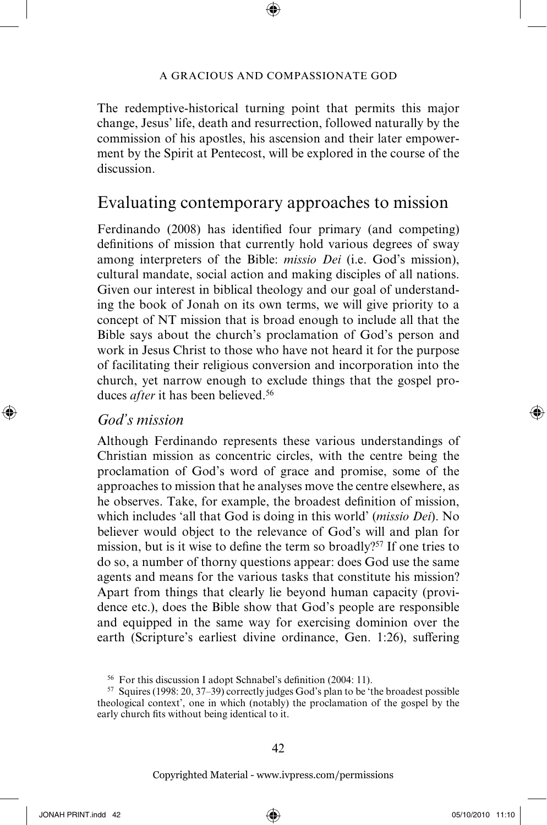⊕

The redemptive-historical turning point that permits this major change, Jesus' life, death and resurrection, followed naturally by the commission of his apostles, his ascension and their later empowerment by the Spirit at Pentecost, will be explored in the course of the discussion.

# Evaluating contemporary approaches to mission

Ferdinando (2008) has identified four primary (and competing) definitions of mission that currently hold various degrees of sway among interpreters of the Bible: *missio Dei* (i.e. God's mission), cultural mandate, social action and making disciples of all nations. Given our interest in biblical theology and our goal of understanding the book of Jonah on its own terms, we will give priority to a concept of NT mission that is broad enough to include all that the Bible says about the church's proclamation of God's person and work in Jesus Christ to those who have not heard it for the purpose of facilitating their religious conversion and incorporation into the church, yet narrow enough to exclude things that the gospel produces *after* it has been believed.<sup>56</sup>

## *God's mission*

◈

Although Ferdinando represents these various understandings of Christian mission as concentric circles, with the centre being the proclamation of God's word of grace and promise, some of the approaches to mission that he analyses move the centre elsewhere, as he observes. Take, for example, the broadest definition of mission, which includes 'all that God is doing in this world' (*missio Dei*). No believer would object to the relevance of God's will and plan for mission, but is it wise to define the term so broadly?<sup>57</sup> If one tries to do so, a number of thorny questions appear: does God use the same agents and means for the various tasks that constitute his mission? Apart from things that clearly lie beyond human capacity (providence etc.), does the Bible show that God's people are responsible and equipped in the same way for exercising dominion over the earth (Scripture's earliest divine ordinance, Gen. 1:26), suffering

#### Copyrighted Material - www.ivpress.com/permissions

<sup>&</sup>lt;sup>56</sup> For this discussion I adopt Schnabel's definition (2004: 11).

<sup>57</sup> Squires (1998: 20, 37–39) correctly judges God's plan to be 'the broadest possible theological context', one in which (notably) the proclamation of the gospel by the early church fits without being identical to it.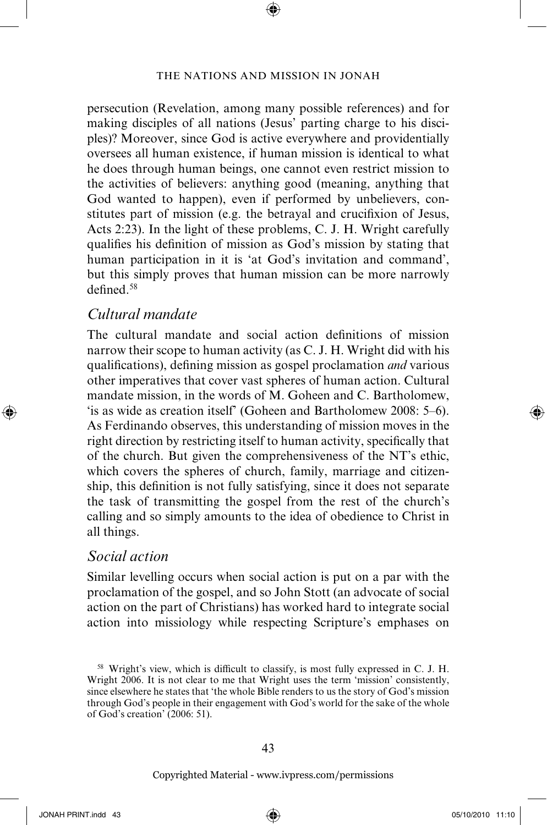persecution (Revelation, among many possible references) and for making disciples of all nations (Jesus' parting charge to his disciples)? Moreover, since God is active everywhere and providentially oversees all human existence, if human mission is identical to what he does through human beings, one cannot even restrict mission to the activities of believers: anything good (meaning, anything that God wanted to happen), even if performed by unbelievers, constitutes part of mission (e.g. the betrayal and crucifixion of Jesus, Acts 2:23). In the light of these problems, C. J. H. Wright carefully qualifies his definition of mission as God's mission by stating that human participation in it is 'at God's invitation and command', but this simply proves that human mission can be more narrowly defined.<sup>58</sup>

# *Cultural mandate*

The cultural mandate and social action definitions of mission narrow their scope to human activity (as C. J. H. Wright did with his qualifications), defining mission as gospel proclamation *and* various other imperatives that cover vast spheres of human action. Cultural mandate mission, in the words of M. Goheen and C. Bartholomew, 'is as wide as creation itself' (Goheen and Bartholomew 2008: 5–6). As Ferdinando observes, this understanding of mission moves in the right direction by restricting itself to human activity, specifically that of the church. But given the comprehensiveness of the NT's ethic, which covers the spheres of church, family, marriage and citizenship, this definition is not fully satisfying, since it does not separate the task of transmitting the gospel from the rest of the church's calling and so simply amounts to the idea of obedience to Christ in all things.

## *Social action*

◈

Similar levelling occurs when social action is put on a par with the proclamation of the gospel, and so John Stott (an advocate of social action on the part of Christians) has worked hard to integrate social action into missiology while respecting Scripture's emphases on

#### Copyrighted Material - www.ivpress.com/permissions

 $58$  Wright's view, which is difficult to classify, is most fully expressed in C. J. H. Wright 2006. It is not clear to me that Wright uses the term 'mission' consistently, since elsewhere he states that 'the whole Bible renders to us the story of God's mission through God's people in their engagement with God's world for the sake of the whole of God's creation' (2006: 51).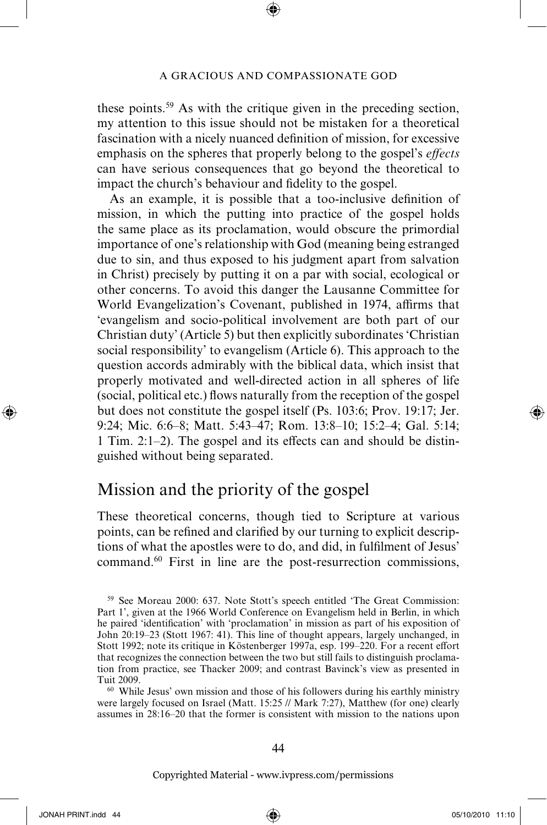these points.59 As with the critique given in the preceding section, my attention to this issue should not be mistaken for a theoretical fascination with a nicely nuanced definition of mission, for excessive emphasis on the spheres that properly belong to the gospel's *effects* can have serious consequences that go beyond the theoretical to impact the church's behaviour and fidelity to the gospel.

As an example, it is possible that a too-inclusive definition of mission, in which the putting into practice of the gospel holds the same place as its proclamation, would obscure the primordial importance of one's relationship with God (meaning being estranged due to sin, and thus exposed to his judgment apart from salvation in Christ) precisely by putting it on a par with social, ecological or other concerns. To avoid this danger the Lausanne Committee for World Evangelization's Covenant, published in 1974, affirms that 'evangelism and socio-political involvement are both part of our Christian duty' (Article 5) but then explicitly subordinates 'Christian social responsibility' to evangelism (Article 6). This approach to the question accords admirably with the biblical data, which insist that properly motivated and well-directed action in all spheres of life (social, political etc.) flows naturally from the reception of the gospel but does not constitute the gospel itself (Ps. 103:6; Prov. 19:17; Jer. 9:24; Mic. 6:6–8; Matt. 5:43–47; Rom. 13:8–10; 15:2–4; Gal. 5:14; 1 Tim.  $2:1-2$ ). The gospel and its effects can and should be distinguished without being separated.

# Mission and the priority of the gospel

These theoretical concerns, though tied to Scripture at various points, can be refined and clarified by our turning to explicit descriptions of what the apostles were to do, and did, in fulfilment of Jesus' command.60 First in line are the post-resurrection commissions,

60 While Jesus' own mission and those of his followers during his earthly ministry were largely focused on Israel (Matt. 15:25 // Mark 7:27), Matthew (for one) clearly assumes in 28:16–20 that the former is consistent with mission to the nations upon

#### Copyrighted Material - www.ivpress.com/permissions

◈

<sup>59</sup> See Moreau 2000: 637. Note Stott's speech entitled 'The Great Commission: Part 1', given at the 1966 World Conference on Evangelism held in Berlin, in which he paired 'identification' with 'proclamation' in mission as part of his exposition of John 20:19–23 (Stott 1967: 41). This line of thought appears, largely unchanged, in Stott 1992; note its critique in Köstenberger 1997a, esp. 199–220. For a recent effort that recognizes the connection between the two but still fails to distinguish proclamation from practice, see Thacker 2009; and contrast Bavinck's view as presented in Tuit 2009.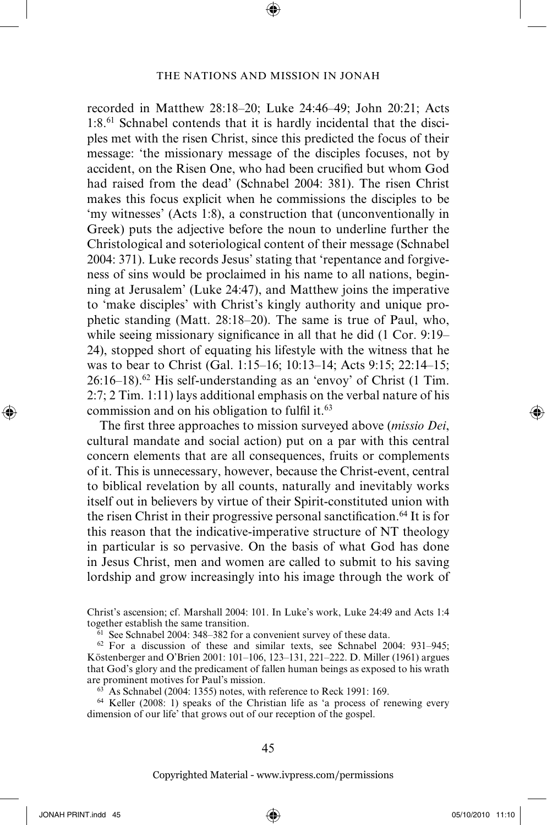recorded in Matthew 28:18–20; Luke 24:46–49; John 20:21; Acts 1:8.61 Schnabel contends that it is hardly incidental that the disciples met with the risen Christ, since this predicted the focus of their message: 'the missionary message of the disciples focuses, not by accident, on the Risen One, who had been crucified but whom God had raised from the dead' (Schnabel 2004: 381). The risen Christ makes this focus explicit when he commissions the disciples to be 'my witnesses' (Acts 1:8), a construction that (unconventionally in Greek) puts the adjective before the noun to underline further the Christological and soteriological content of their message (Schnabel 2004: 371). Luke records Jesus' stating that 'repentance and forgiveness of sins would be proclaimed in his name to all nations, beginning at Jerusalem' (Luke 24:47), and Matthew joins the imperative to 'make disciples' with Christ's kingly authority and unique prophetic standing (Matt. 28:18–20). The same is true of Paul, who, while seeing missionary significance in all that he did  $(1 \text{ Cor. } 9:19-$ 24), stopped short of equating his lifestyle with the witness that he was to bear to Christ (Gal. 1:15–16; 10:13–14; Acts 9:15; 22:14–15; 26:16–18).62 His self-understanding as an 'envoy' of Christ (1 Tim. 2:7; 2 Tim. 1:11) lays additional emphasis on the verbal nature of his commission and on his obligation to fulfil it. $63$ 

The first three approaches to mission surveyed above *(missio Dei*, cultural mandate and social action) put on a par with this central concern elements that are all consequences, fruits or complements of it. This is unnecessary, however, because the Christ-event, central to biblical revelation by all counts, naturally and inevitably works itself out in believers by virtue of their Spirit-constituted union with the risen Christ in their progressive personal sanctification.<sup>64</sup> It is for this reason that the indicative-imperative structure of NT theology in particular is so pervasive. On the basis of what God has done in Jesus Christ, men and women are called to submit to his saving lordship and grow increasingly into his image through the work of

Christ's ascension; cf. Marshall 2004: 101. In Luke's work, Luke 24:49 and Acts 1:4 together establish the same transition.

61 See Schnabel 2004: 348–382 for a convenient survey of these data.

 $62$  For a discussion of these and similar texts, see Schnabel 2004: 931–945; Köstenberger and O'Brien 2001: 101–106, 123–131, 221–222. D. Miller (1961) argues that God's glory and the predicament of fallen human beings as exposed to his wrath are prominent motives for Paul's mission.

 $63$  As Schnabel (2004: 1355) notes, with reference to Reck 1991: 169.

64 Keller (2008: 1) speaks of the Christian life as 'a process of renewing every dimension of our life' that grows out of our reception of the gospel.

#### Copyrighted Material - www.ivpress.com/permissions

◈